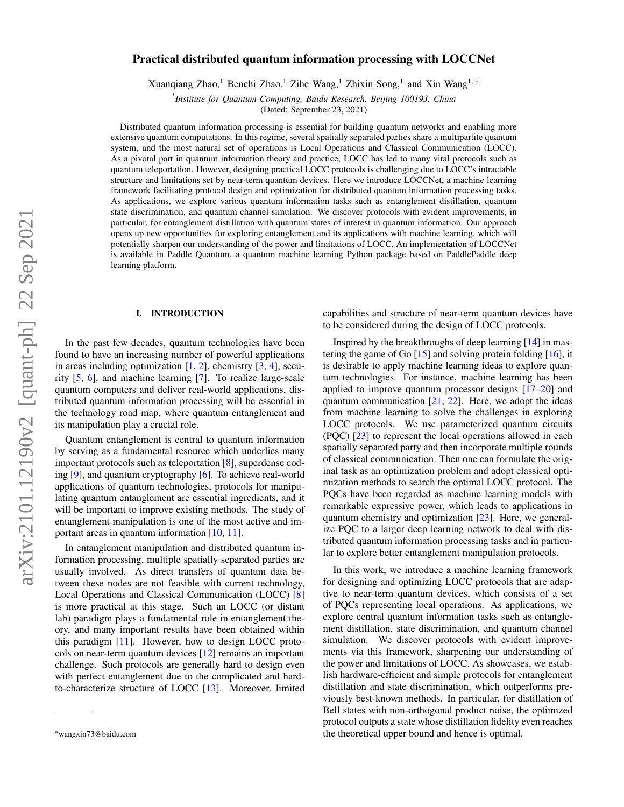# Practical distributed quantum information processing with LOCCNet

Xuanqiang Zhao,<sup>1</sup> Benchi Zhao,<sup>1</sup> Zihe Wang,<sup>1</sup> Zhixin Song,<sup>1</sup> and Xin Wang<sup>1,[\\*](#page-0-0)</sup>

*1 Institute for Quantum Computing, Baidu Research, Beijing 100193, China*

(Dated: September 23, 2021)

Distributed quantum information processing is essential for building quantum networks and enabling more extensive quantum computations. In this regime, several spatially separated parties share a multipartite quantum system, and the most natural set of operations is Local Operations and Classical Communication (LOCC). As a pivotal part in quantum information theory and practice, LOCC has led to many vital protocols such as quantum teleportation. However, designing practical LOCC protocols is challenging due to LOCC's intractable structure and limitations set by near-term quantum devices. Here we introduce LOCCNet, a machine learning framework facilitating protocol design and optimization for distributed quantum information processing tasks. As applications, we explore various quantum information tasks such as entanglement distillation, quantum state discrimination, and quantum channel simulation. We discover protocols with evident improvements, in particular, for entanglement distillation with quantum states of interest in quantum information. Our approach opens up new opportunities for exploring entanglement and its applications with machine learning, which will potentially sharpen our understanding of the power and limitations of LOCC. An implementation of LOCCNet is available in Paddle Quantum, a quantum machine learning Python package based on PaddlePaddle deep learning platform.

### I. INTRODUCTION

In the past few decades, quantum technologies have been found to have an increasing number of powerful applications in areas including optimization  $[1, 2]$  $[1, 2]$  $[1, 2]$ , chemistry  $[3, 4]$  $[3, 4]$  $[3, 4]$ , security [\[5,](#page-6-4) [6\]](#page-6-5), and machine learning [\[7\]](#page-6-6). To realize large-scale quantum computers and deliver real-world applications, distributed quantum information processing will be essential in the technology road map, where quantum entanglement and its manipulation play a crucial role.

Quantum entanglement is central to quantum information by serving as a fundamental resource which underlies many important protocols such as teleportation [\[8\]](#page-6-7), superdense coding [\[9\]](#page-6-8), and quantum cryptography [\[6\]](#page-6-5). To achieve real-world applications of quantum technologies, protocols for manipulating quantum entanglement are essential ingredients, and it will be important to improve existing methods. The study of entanglement manipulation is one of the most active and important areas in quantum information [\[10,](#page-6-9) [11\]](#page-6-10).

In entanglement manipulation and distributed quantum information processing, multiple spatially separated parties are usually involved. As direct transfers of quantum data between these nodes are not feasible with current technology, Local Operations and Classical Communication (LOCC) [\[8\]](#page-6-7) is more practical at this stage. Such an LOCC (or distant lab) paradigm plays a fundamental role in entanglement theory, and many important results have been obtained within this paradigm [\[11\]](#page-6-10). However, how to design LOCC protocols on near-term quantum devices [\[12\]](#page-6-11) remains an important challenge. Such protocols are generally hard to design even with perfect entanglement due to the complicated and hardto-characterize structure of LOCC [\[13\]](#page-6-12). Moreover, limited capabilities and structure of near-term quantum devices have to be considered during the design of LOCC protocols.

Inspired by the breakthroughs of deep learning [\[14\]](#page-6-13) in mastering the game of Go  $[15]$  and solving protein folding  $[16]$ , it is desirable to apply machine learning ideas to explore quantum technologies. For instance, machine learning has been applied to improve quantum processor designs [\[17–](#page-6-16)[20\]](#page-6-17) and quantum communication  $[21, 22]$  $[21, 22]$  $[21, 22]$ . Here, we adopt the ideas from machine learning to solve the challenges in exploring LOCC protocols. We use parameterized quantum circuits (PQC) [\[23\]](#page-6-20) to represent the local operations allowed in each spatially separated party and then incorporate multiple rounds of classical communication. Then one can formulate the original task as an optimization problem and adopt classical optimization methods to search the optimal LOCC protocol. The PQCs have been regarded as machine learning models with remarkable expressive power, which leads to applications in quantum chemistry and optimization [\[23\]](#page-6-20). Here, we generalize PQC to a larger deep learning network to deal with distributed quantum information processing tasks and in particular to explore better entanglement manipulation protocols.

In this work, we introduce a machine learning framework for designing and optimizing LOCC protocols that are adaptive to near-term quantum devices, which consists of a set of PQCs representing local operations. As applications, we explore central quantum information tasks such as entanglement distillation, state discrimination, and quantum channel simulation. We discover protocols with evident improvements via this framework, sharpening our understanding of the power and limitations of LOCC. As showcases, we establish hardware-efficient and simple protocols for entanglement distillation and state discrimination, which outperforms previously best-known methods. In particular, for distillation of Bell states with non-orthogonal product noise, the optimized protocol outputs a state whose distillation fidelity even reaches the theoretical upper bound and hence is optimal.

<span id="page-0-0"></span><sup>\*</sup>wangxin73@baidu.com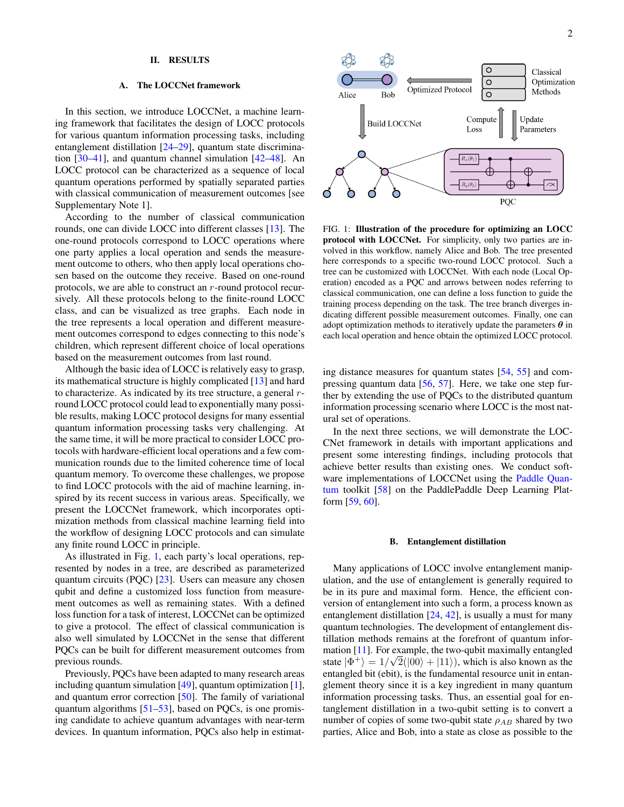### II. RESULTS

#### A. The LOCCNet framework

In this section, we introduce LOCCNet, a machine learning framework that facilitates the design of LOCC protocols for various quantum information processing tasks, including entanglement distillation [\[24](#page-7-0)[–29\]](#page-7-1), quantum state discrimination  $[30-41]$  $[30-41]$ , and quantum channel simulation  $[42-48]$  $[42-48]$ . An LOCC protocol can be characterized as a sequence of local quantum operations performed by spatially separated parties with classical communication of measurement outcomes [see Supplementary Note 1].

According to the number of classical communication rounds, one can divide LOCC into different classes [\[13\]](#page-6-12). The one-round protocols correspond to LOCC operations where one party applies a local operation and sends the measurement outcome to others, who then apply local operations chosen based on the outcome they receive. Based on one-round protocols, we are able to construct an r-round protocol recursively. All these protocols belong to the finite-round LOCC class, and can be visualized as tree graphs. Each node in the tree represents a local operation and different measurement outcomes correspond to edges connecting to this node's children, which represent different choice of local operations based on the measurement outcomes from last round.

Although the basic idea of LOCC is relatively easy to grasp, its mathematical structure is highly complicated [\[13\]](#page-6-12) and hard to characterize. As indicated by its tree structure, a general rround LOCC protocol could lead to exponentially many possible results, making LOCC protocol designs for many essential quantum information processing tasks very challenging. At the same time, it will be more practical to consider LOCC protocols with hardware-efficient local operations and a few communication rounds due to the limited coherence time of local quantum memory. To overcome these challenges, we propose to find LOCC protocols with the aid of machine learning, inspired by its recent success in various areas. Specifically, we present the LOCCNet framework, which incorporates optimization methods from classical machine learning field into the workflow of designing LOCC protocols and can simulate any finite round LOCC in principle.

As illustrated in Fig. [1,](#page-1-0) each party's local operations, represented by nodes in a tree, are described as parameterized quantum circuits (PQC) [\[23\]](#page-6-20). Users can measure any chosen qubit and define a customized loss function from measurement outcomes as well as remaining states. With a defined loss function for a task of interest, LOCCNet can be optimized to give a protocol. The effect of classical communication is also well simulated by LOCCNet in the sense that different PQCs can be built for different measurement outcomes from previous rounds.

Previously, PQCs have been adapted to many research areas including quantum simulation [\[49\]](#page-7-6), quantum optimization [\[1\]](#page-6-0), and quantum error correction [\[50\]](#page-7-7). The family of variational quantum algorithms [\[51–](#page-7-8)[53\]](#page-7-9), based on PQCs, is one promising candidate to achieve quantum advantages with near-term devices. In quantum information, PQCs also help in estimat-



<span id="page-1-0"></span>FIG. 1: Illustration of the procedure for optimizing an LOCC protocol with LOCCNet. For simplicity, only two parties are involved in this workflow, namely Alice and Bob. The tree presented here corresponds to a specific two-round LOCC protocol. Such a tree can be customized with LOCCNet. With each node (Local Operation) encoded as a PQC and arrows between nodes referring to classical communication, one can define a loss function to guide the training process depending on the task. The tree branch diverges indicating different possible measurement outcomes. Finally, one can adopt optimization methods to iteratively update the parameters  $\theta$  in each local operation and hence obtain the optimized LOCC protocol.

ing distance measures for quantum states [\[54,](#page-7-10) [55\]](#page-7-11) and compressing quantum data [\[56,](#page-7-12) [57\]](#page-7-13). Here, we take one step further by extending the use of PQCs to the distributed quantum information processing scenario where LOCC is the most natural set of operations.

In the next three sections, we will demonstrate the LOC-CNet framework in details with important applications and present some interesting findings, including protocols that achieve better results than existing ones. We conduct software implementations of LOCCNet using the [Paddle Quan](https://qml.baidu.com/)[tum](https://qml.baidu.com/) toolkit [\[58\]](#page-7-14) on the PaddlePaddle Deep Learning Platform [\[59,](#page-7-15) [60\]](#page-7-16).

### B. Entanglement distillation

Many applications of LOCC involve entanglement manipulation, and the use of entanglement is generally required to be in its pure and maximal form. Hence, the efficient conversion of entanglement into such a form, a process known as entanglement distillation  $[24, 42]$  $[24, 42]$  $[24, 42]$ , is usually a must for many quantum technologies. The development of entanglement distillation methods remains at the forefront of quantum infor-mation [\[11\]](#page-6-10). For example, the two-qubit maximally entangled state  $|\Phi^+\rangle = 1/\sqrt{2}(|00\rangle + |11\rangle)$ , which is also known as the entangled bit (ebit), is the fundamental resource unit in entanglement theory since it is a key ingredient in many quantum information processing tasks. Thus, an essential goal for entanglement distillation in a two-qubit setting is to convert a number of copies of some two-qubit state  $\rho_{AB}$  shared by two parties, Alice and Bob, into a state as close as possible to the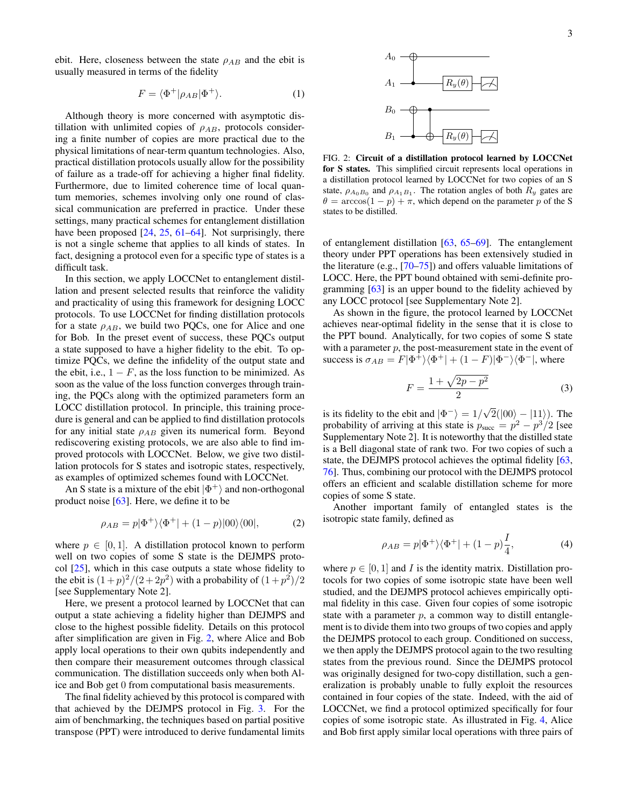ebit. Here, closeness between the state  $\rho_{AB}$  and the ebit is usually measured in terms of the fidelity

$$
F = \langle \Phi^+ | \rho_{AB} | \Phi^+ \rangle. \tag{1}
$$

Although theory is more concerned with asymptotic distillation with unlimited copies of  $\rho_{AB}$ , protocols considering a finite number of copies are more practical due to the physical limitations of near-term quantum technologies. Also, practical distillation protocols usually allow for the possibility of failure as a trade-off for achieving a higher final fidelity. Furthermore, due to limited coherence time of local quantum memories, schemes involving only one round of classical communication are preferred in practice. Under these settings, many practical schemes for entanglement distillation have been proposed  $[24, 25, 61–64]$  $[24, 25, 61–64]$  $[24, 25, 61–64]$  $[24, 25, 61–64]$  $[24, 25, 61–64]$  $[24, 25, 61–64]$ . Not surprisingly, there is not a single scheme that applies to all kinds of states. In fact, designing a protocol even for a specific type of states is a difficult task.

In this section, we apply LOCCNet to entanglement distillation and present selected results that reinforce the validity and practicality of using this framework for designing LOCC protocols. To use LOCCNet for finding distillation protocols for a state  $\rho_{AB}$ , we build two PQCs, one for Alice and one for Bob. In the preset event of success, these PQCs output a state supposed to have a higher fidelity to the ebit. To optimize PQCs, we define the infidelity of the output state and the ebit, i.e.,  $1 - F$ , as the loss function to be minimized. As soon as the value of the loss function converges through training, the PQCs along with the optimized parameters form an LOCC distillation protocol. In principle, this training procedure is general and can be applied to find distillation protocols for any initial state  $\rho_{AB}$  given its numerical form. Beyond rediscovering existing protocols, we are also able to find improved protocols with LOCCNet. Below, we give two distillation protocols for S states and isotropic states, respectively, as examples of optimized schemes found with LOCCNet.

An S state is a mixture of the ebit  $|\Phi^+\rangle$  and non-orthogonal product noise [\[63\]](#page-7-20). Here, we define it to be

$$
\rho_{AB} = p|\Phi^+\rangle\langle\Phi^+| + (1-p)|00\rangle\langle00|,\tag{2}
$$

where  $p \in [0, 1]$ . A distillation protocol known to perform well on two copies of some S state is the DEJMPS protocol [\[25\]](#page-7-17), which in this case outputs a state whose fidelity to the ebit is  $(1+p)^2/(2+2p^2)$  with a probability of  $(1+p^2)/2$ [see Supplementary Note 2].

Here, we present a protocol learned by LOCCNet that can output a state achieving a fidelity higher than DEJMPS and close to the highest possible fidelity. Details on this protocol after simplification are given in Fig. [2,](#page-2-0) where Alice and Bob apply local operations to their own qubits independently and then compare their measurement outcomes through classical communication. The distillation succeeds only when both Alice and Bob get 0 from computational basis measurements.

The final fidelity achieved by this protocol is compared with that achieved by the DEJMPS protocol in Fig. [3.](#page-3-0) For the aim of benchmarking, the techniques based on partial positive transpose (PPT) were introduced to derive fundamental limits



<span id="page-2-0"></span>FIG. 2: Circuit of a distillation protocol learned by LOCCNet for S states. This simplified circuit represents local operations in a distillation protocol learned by LOCCNet for two copies of an S state,  $\rho_{A_0B_0}$  and  $\rho_{A_1B_1}$ . The rotation angles of both  $R_y$  gates are  $\theta = \arccos(1 - p) + \pi$ , which depend on the parameter p of the S states to be distilled.

of entanglement distillation [\[63,](#page-7-20) [65–](#page-7-21)[69\]](#page-7-22). The entanglement theory under PPT operations has been extensively studied in the literature (e.g.,  $[70-75]$  $[70-75]$ ) and offers valuable limitations of LOCC. Here, the PPT bound obtained with semi-definite programming [\[63\]](#page-7-20) is an upper bound to the fidelity achieved by any LOCC protocol [see Supplementary Note 2].

As shown in the figure, the protocol learned by LOCCNet achieves near-optimal fidelity in the sense that it is close to the PPT bound. Analytically, for two copies of some S state with a parameter  $p$ , the post-measurement state in the event of success is  $\sigma_{AB} = F|\Phi^{\pm}\rangle\langle\Phi^+| + (1 - F)|\Phi^-\rangle\langle\Phi^-|$ , where

$$
F = \frac{1 + \sqrt{2p - p^2}}{2}
$$
 (3)

is its fidelity to the ebit and  $|\Phi^-\rangle = 1/\sqrt{2}$  $2(|00\rangle - |11\rangle)$ . The probability of arriving at this state is  $p_{succ} = p^2 - p^3/2$  [see Supplementary Note 2]. It is noteworthy that the distilled state is a Bell diagonal state of rank two. For two copies of such a state, the DEJMPS protocol achieves the optimal fidelity [\[63,](#page-7-20) [76\]](#page-8-2). Thus, combining our protocol with the DEJMPS protocol offers an efficient and scalable distillation scheme for more copies of some S state.

Another important family of entangled states is the isotropic state family, defined as

$$
\rho_{AB} = p|\Phi^+\rangle\langle\Phi^+| + (1-p)\frac{I}{4},\tag{4}
$$

where  $p \in [0, 1]$  and I is the identity matrix. Distillation protocols for two copies of some isotropic state have been well studied, and the DEJMPS protocol achieves empirically optimal fidelity in this case. Given four copies of some isotropic state with a parameter  $p$ , a common way to distill entanglement is to divide them into two groups of two copies and apply the DEJMPS protocol to each group. Conditioned on success, we then apply the DEJMPS protocol again to the two resulting states from the previous round. Since the DEJMPS protocol was originally designed for two-copy distillation, such a generalization is probably unable to fully exploit the resources contained in four copies of the state. Indeed, with the aid of LOCCNet, we find a protocol optimized specifically for four copies of some isotropic state. As illustrated in Fig. [4,](#page-3-1) Alice and Bob first apply similar local operations with three pairs of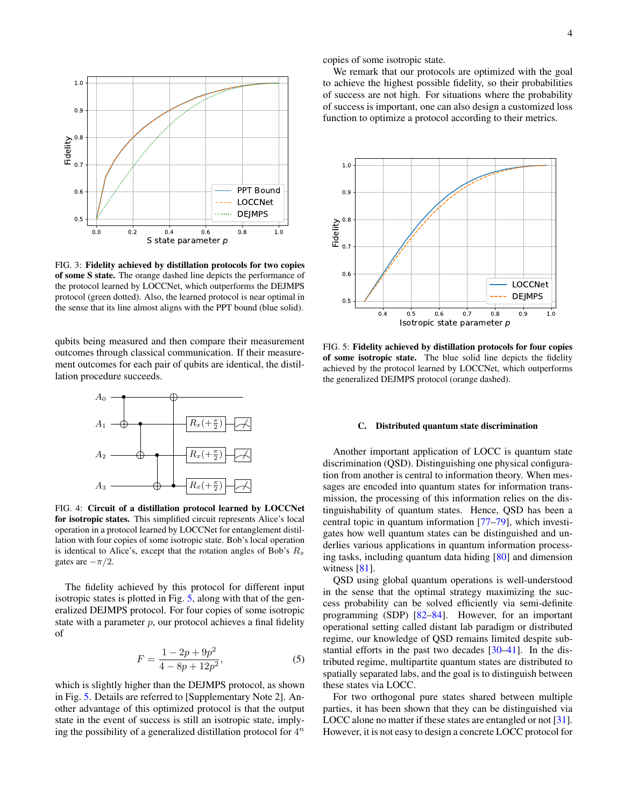

<span id="page-3-0"></span>FIG. 3: Fidelity achieved by distillation protocols for two copies of some S state. The orange dashed line depicts the performance of the protocol learned by LOCCNet, which outperforms the DEJMPS protocol (green dotted). Also, the learned protocol is near optimal in the sense that its line almost aligns with the PPT bound (blue solid).

qubits being measured and then compare their measurement outcomes through classical communication. If their measurement outcomes for each pair of qubits are identical, the distillation procedure succeeds.



<span id="page-3-1"></span>FIG. 4: Circuit of a distillation protocol learned by LOCCNet for isotropic states. This simplified circuit represents Alice's local operation in a protocol learned by LOCCNet for entanglement distillation with four copies of some isotropic state. Bob's local operation is identical to Alice's, except that the rotation angles of Bob's  $R_x$ gates are  $-\pi/2$ .

The fidelity achieved by this protocol for different input isotropic states is plotted in Fig. [5,](#page-3-2) along with that of the generalized DEJMPS protocol. For four copies of some isotropic state with a parameter  $p$ , our protocol achieves a final fidelity of

$$
F = \frac{1 - 2p + 9p^2}{4 - 8p + 12p^2},
$$
\n(5)

which is slightly higher than the DEJMPS protocol, as shown in Fig. [5.](#page-3-2) Details are referred to [Supplementary Note 2]. Another advantage of this optimized protocol is that the output state in the event of success is still an isotropic state, implying the possibility of a generalized distillation protocol for  $4^n$ 

copies of some isotropic state.

We remark that our protocols are optimized with the goal to achieve the highest possible fidelity, so their probabilities of success are not high. For situations where the probability of success is important, one can also design a customized loss function to optimize a protocol according to their metrics.



<span id="page-3-2"></span>FIG. 5: Fidelity achieved by distillation protocols for four copies of some isotropic state. The blue solid line depicts the fidelity achieved by the protocol learned by LOCCNet, which outperforms the generalized DEJMPS protocol (orange dashed).

### C. Distributed quantum state discrimination

Another important application of LOCC is quantum state discrimination (QSD). Distinguishing one physical configuration from another is central to information theory. When messages are encoded into quantum states for information transmission, the processing of this information relies on the distinguishability of quantum states. Hence, QSD has been a central topic in quantum information [\[77–](#page-8-3)[79\]](#page-8-4), which investigates how well quantum states can be distinguished and underlies various applications in quantum information processing tasks, including quantum data hiding [\[80\]](#page-8-5) and dimension witness  $[81]$ .

QSD using global quantum operations is well-understood in the sense that the optimal strategy maximizing the success probability can be solved efficiently via semi-definite programming (SDP) [\[82–](#page-8-7)[84\]](#page-8-8). However, for an important operational setting called distant lab paradigm or distributed regime, our knowledge of QSD remains limited despite substantial efforts in the past two decades [\[30](#page-7-2)[–41\]](#page-7-3). In the distributed regime, multipartite quantum states are distributed to spatially separated labs, and the goal is to distinguish between these states via LOCC.

For two orthogonal pure states shared between multiple parties, it has been shown that they can be distinguished via LOCC alone no matter if these states are entangled or not [\[31\]](#page-7-23). However, it is not easy to design a concrete LOCC protocol for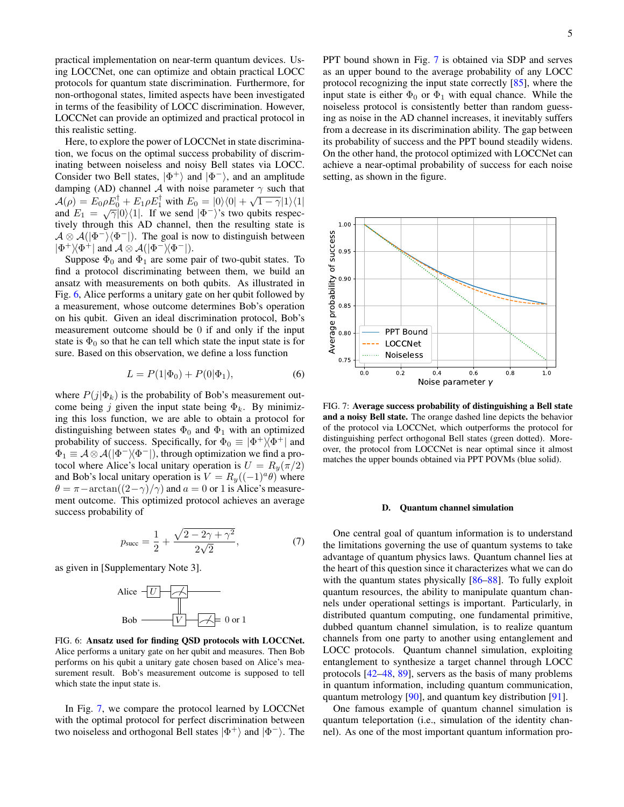practical implementation on near-term quantum devices. Using LOCCNet, one can optimize and obtain practical LOCC protocols for quantum state discrimination. Furthermore, for non-orthogonal states, limited aspects have been investigated in terms of the feasibility of LOCC discrimination. However, LOCCNet can provide an optimized and practical protocol in this realistic setting.

Here, to explore the power of LOCCNet in state discrimination, we focus on the optimal success probability of discriminating between noiseless and noisy Bell states via LOCC. Consider two Bell states,  $|\Phi^+\rangle$  and  $|\Phi^-\rangle$ , and an amplitude damping (AD) channel A with noise parameter  $\gamma$  such that damping  $(\overline{AD})$  channel  $\overline{A}$  with holse parameter  $\overline{\gamma}$  such that  $\mathcal{A}(\rho) = E_0 \rho E_0 + E_1 \rho E_1$  with  $E_0 = |0\rangle \langle 0| + \sqrt{1 - \gamma} |1\rangle \langle 1|$ <br>and  $E_1 = \sqrt{\gamma} |0\rangle \langle 1|$ . If we send  $|\Phi^-\rangle$ 's two qubits respectively through this AD channel, then the resulting state is  $\mathcal{A} \otimes \mathcal{A}(|\Phi^-\rangle\langle\Phi^-|)$ . The goal is now to distinguish between  $|\Phi^+\rangle\langle\Phi^+|$  and  $\mathcal{A}\otimes\mathcal{A}(|\Phi^-\rangle\langle\Phi^-|).$ 

Suppose  $\Phi_0$  and  $\Phi_1$  are some pair of two-qubit states. To find a protocol discriminating between them, we build an ansatz with measurements on both qubits. As illustrated in Fig. [6,](#page-4-0) Alice performs a unitary gate on her qubit followed by a measurement, whose outcome determines Bob's operation on his qubit. Given an ideal discrimination protocol, Bob's measurement outcome should be 0 if and only if the input state is  $\Phi_0$  so that he can tell which state the input state is for sure. Based on this observation, we define a loss function

$$
L = P(1|\Phi_0) + P(0|\Phi_1), \tag{6}
$$

where  $P(j|\Phi_k)$  is the probability of Bob's measurement outcome being j given the input state being  $\Phi_k$ . By minimizing this loss function, we are able to obtain a protocol for distinguishing between states  $\Phi_0$  and  $\Phi_1$  with an optimized probability of success. Specifically, for  $\Phi_0 \equiv |\Phi^+\rangle\langle \Phi^+|$  and  $\Phi_1 \equiv \mathcal{A} \otimes \mathcal{A}(|\Phi^-\rangle\langle \Phi^-|)$ , through optimization we find a protocol where Alice's local unitary operation is  $U = R_y(\pi/2)$ and Bob's local unitary operation is  $V = R_y((-1)^a \theta)$  where  $\theta = \pi - \arctan((2-\gamma)/\gamma)$  and  $a = 0$  or 1 is Alice's measurement outcome. This optimized protocol achieves an average success probability of

$$
p_{\text{succ}} = \frac{1}{2} + \frac{\sqrt{2 - 2\gamma + \gamma^2}}{2\sqrt{2}},\tag{7}
$$

as given in [Supplementary Note 3].



<span id="page-4-0"></span>FIG. 6: Ansatz used for finding QSD protocols with LOCCNet. Alice performs a unitary gate on her qubit and measures. Then Bob performs on his qubit a unitary gate chosen based on Alice's measurement result. Bob's measurement outcome is supposed to tell which state the input state is.

In Fig. [7,](#page-4-1) we compare the protocol learned by LOCCNet with the optimal protocol for perfect discrimination between two noiseless and orthogonal Bell states  $|\Phi^+\rangle$  and  $|\Phi^-\rangle$ . The

PPT bound shown in Fig. [7](#page-4-1) is obtained via SDP and serves as an upper bound to the average probability of any LOCC protocol recognizing the input state correctly [\[85\]](#page-8-9), where the input state is either  $\Phi_0$  or  $\Phi_1$  with equal chance. While the noiseless protocol is consistently better than random guessing as noise in the AD channel increases, it inevitably suffers from a decrease in its discrimination ability. The gap between its probability of success and the PPT bound steadily widens. On the other hand, the protocol optimized with LOCCNet can achieve a near-optimal probability of success for each noise setting, as shown in the figure.



<span id="page-4-1"></span>FIG. 7: Average success probability of distinguishing a Bell state and a noisy Bell state. The orange dashed line depicts the behavior of the protocol via LOCCNet, which outperforms the protocol for distinguishing perfect orthogonal Bell states (green dotted). Moreover, the protocol from LOCCNet is near optimal since it almost matches the upper bounds obtained via PPT POVMs (blue solid).

#### D. Quantum channel simulation

One central goal of quantum information is to understand the limitations governing the use of quantum systems to take advantage of quantum physics laws. Quantum channel lies at the heart of this question since it characterizes what we can do with the quantum states physically [\[86–](#page-8-10)[88\]](#page-8-11). To fully exploit quantum resources, the ability to manipulate quantum channels under operational settings is important. Particularly, in distributed quantum computing, one fundamental primitive, dubbed quantum channel simulation, is to realize quantum channels from one party to another using entanglement and LOCC protocols. Quantum channel simulation, exploiting entanglement to synthesize a target channel through LOCC protocols [\[42](#page-7-4)[–48,](#page-7-5) [89\]](#page-8-12), servers as the basis of many problems in quantum information, including quantum communication, quantum metrology [\[90\]](#page-8-13), and quantum key distribution [\[91\]](#page-8-14).

One famous example of quantum channel simulation is quantum teleportation (i.e., simulation of the identity channel). As one of the most important quantum information pro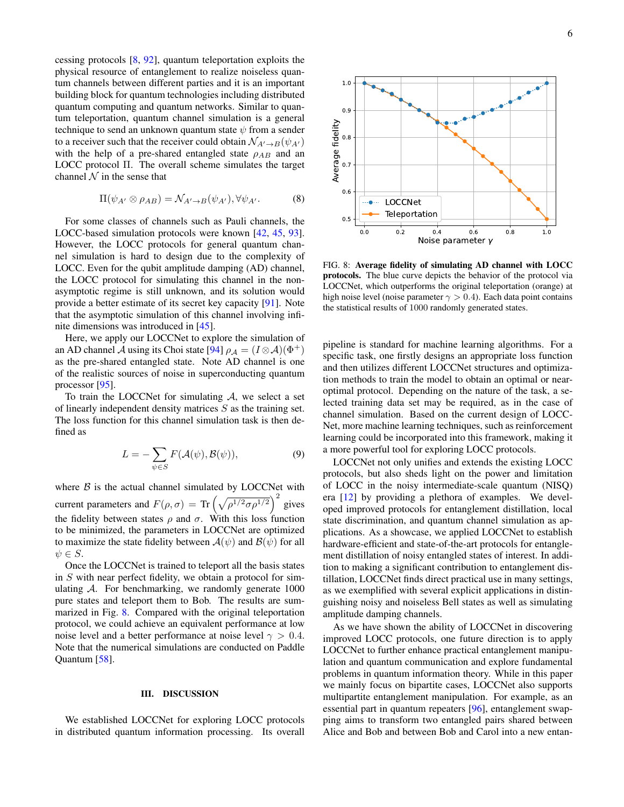cessing protocols [\[8,](#page-6-7) [92\]](#page-8-15), quantum teleportation exploits the physical resource of entanglement to realize noiseless quantum channels between different parties and it is an important building block for quantum technologies including distributed quantum computing and quantum networks. Similar to quantum teleportation, quantum channel simulation is a general technique to send an unknown quantum state  $\psi$  from a sender to a receiver such that the receiver could obtain  $\mathcal{N}_{A'\to B}(\psi_{A'})$ with the help of a pre-shared entangled state  $\rho_{AB}$  and an LOCC protocol Π. The overall scheme simulates the target channel  $N$  in the sense that

$$
\Pi(\psi_{A'} \otimes \rho_{AB}) = \mathcal{N}_{A' \to B}(\psi_{A'}), \forall \psi_{A'}.
$$
 (8)

For some classes of channels such as Pauli channels, the LOCC-based simulation protocols were known [\[42,](#page-7-4) [45,](#page-7-24) [93\]](#page-8-16). However, the LOCC protocols for general quantum channel simulation is hard to design due to the complexity of LOCC. Even for the qubit amplitude damping (AD) channel, the LOCC protocol for simulating this channel in the nonasymptotic regime is still unknown, and its solution would provide a better estimate of its secret key capacity [\[91\]](#page-8-14). Note that the asymptotic simulation of this channel involving infinite dimensions was introduced in [\[45\]](#page-7-24).

Here, we apply our LOCCNet to explore the simulation of an AD channel A using its Choi state [\[94\]](#page-8-17)  $\rho_A = (I \otimes A)(\Phi^+)$ as the pre-shared entangled state. Note AD channel is one of the realistic sources of noise in superconducting quantum processor [\[95\]](#page-8-18).

To train the LOCCNet for simulating  $A$ , we select a set of linearly independent density matrices  $S$  as the training set. The loss function for this channel simulation task is then defined as

$$
L = -\sum_{\psi \in S} F(\mathcal{A}(\psi), \mathcal{B}(\psi)),\tag{9}
$$

where  $B$  is the actual channel simulated by LOCCNet with current parameters and  $F(\rho, \sigma) = \text{Tr} \left( \sqrt{\rho^{1/2} \sigma \rho^{1/2}} \right)^2$  gives the fidelity between states  $\rho$  and  $\sigma$ . With this loss function to be minimized, the parameters in LOCCNet are optimized to maximize the state fidelity between  $A(\psi)$  and  $B(\psi)$  for all  $\psi \in S$ .

Once the LOCCNet is trained to teleport all the basis states in S with near perfect fidelity, we obtain a protocol for simulating  $A$ . For benchmarking, we randomly generate  $1000$ pure states and teleport them to Bob. The results are summarized in Fig. [8.](#page-5-0) Compared with the original teleportation protocol, we could achieve an equivalent performance at low noise level and a better performance at noise level  $\gamma > 0.4$ . Note that the numerical simulations are conducted on Paddle Quantum [\[58\]](#page-7-14).

#### III. DISCUSSION

We established LOCCNet for exploring LOCC protocols in distributed quantum information processing. Its overall



<span id="page-5-0"></span>FIG. 8: Average fidelity of simulating AD channel with LOCC protocols. The blue curve depicts the behavior of the protocol via LOCCNet, which outperforms the original teleportation (orange) at high noise level (noise parameter  $\gamma > 0.4$ ). Each data point contains the statistical results of 1000 randomly generated states.

pipeline is standard for machine learning algorithms. For a specific task, one firstly designs an appropriate loss function and then utilizes different LOCCNet structures and optimization methods to train the model to obtain an optimal or nearoptimal protocol. Depending on the nature of the task, a selected training data set may be required, as in the case of channel simulation. Based on the current design of LOCC-Net, more machine learning techniques, such as reinforcement learning could be incorporated into this framework, making it a more powerful tool for exploring LOCC protocols.

LOCCNet not only unifies and extends the existing LOCC protocols, but also sheds light on the power and limitation of LOCC in the noisy intermediate-scale quantum (NISQ) era [\[12\]](#page-6-11) by providing a plethora of examples. We developed improved protocols for entanglement distillation, local state discrimination, and quantum channel simulation as applications. As a showcase, we applied LOCCNet to establish hardware-efficient and state-of-the-art protocols for entanglement distillation of noisy entangled states of interest. In addition to making a significant contribution to entanglement distillation, LOCCNet finds direct practical use in many settings, as we exemplified with several explicit applications in distinguishing noisy and noiseless Bell states as well as simulating amplitude damping channels.

As we have shown the ability of LOCCNet in discovering improved LOCC protocols, one future direction is to apply LOCCNet to further enhance practical entanglement manipulation and quantum communication and explore fundamental problems in quantum information theory. While in this paper we mainly focus on bipartite cases, LOCCNet also supports multipartite entanglement manipulation. For example, as an essential part in quantum repeaters [\[96\]](#page-8-19), entanglement swapping aims to transform two entangled pairs shared between Alice and Bob and between Bob and Carol into a new entan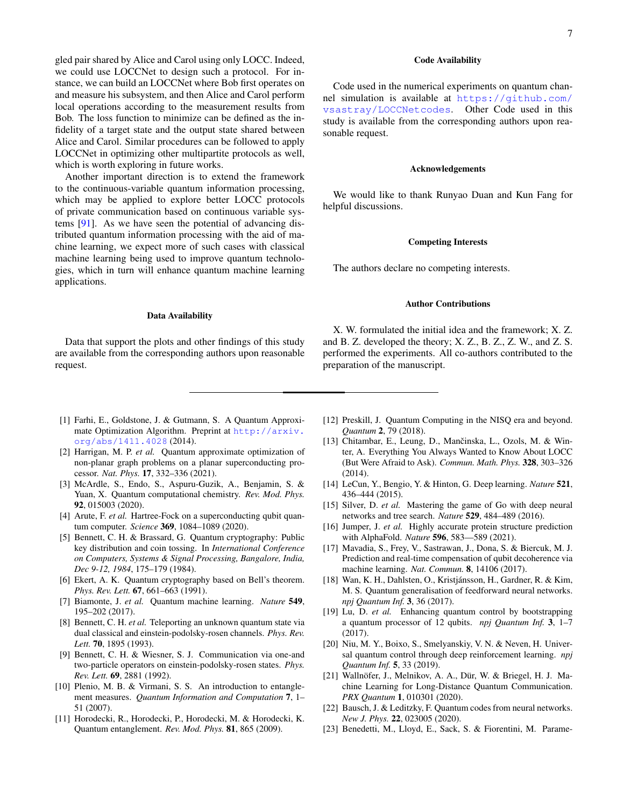gled pair shared by Alice and Carol using only LOCC. Indeed, we could use LOCCNet to design such a protocol. For instance, we can build an LOCCNet where Bob first operates on and measure his subsystem, and then Alice and Carol perform local operations according to the measurement results from Bob. The loss function to minimize can be defined as the infidelity of a target state and the output state shared between Alice and Carol. Similar procedures can be followed to apply LOCCNet in optimizing other multipartite protocols as well, which is worth exploring in future works.

Another important direction is to extend the framework to the continuous-variable quantum information processing, which may be applied to explore better LOCC protocols of private communication based on continuous variable systems [\[91\]](#page-8-14). As we have seen the potential of advancing distributed quantum information processing with the aid of machine learning, we expect more of such cases with classical machine learning being used to improve quantum technologies, which in turn will enhance quantum machine learning applications.

### Data Availability

Data that support the plots and other findings of this study are available from the corresponding authors upon reasonable request.

7

### Code Availability

Code used in the numerical experiments on quantum channel simulation is available at [https://github.com/](https://github.com/vsastray/LOCCNetcodes) [vsastray/LOCCNetcodes](https://github.com/vsastray/LOCCNetcodes). Other Code used in this study is available from the corresponding authors upon reasonable request.

#### Acknowledgements

We would like to thank Runyao Duan and Kun Fang for helpful discussions.

#### Competing Interests

The authors declare no competing interests.

#### Author Contributions

X. W. formulated the initial idea and the framework; X. Z. and B. Z. developed the theory; X. Z., B. Z., Z. W., and Z. S. performed the experiments. All co-authors contributed to the preparation of the manuscript.

- <span id="page-6-0"></span>[1] Farhi, E., Goldstone, J. & Gutmann, S. A Quantum Approximate Optimization Algorithm. Preprint at [http://arxiv.](http://arxiv.org/abs/1411.4028) [org/abs/1411.4028](http://arxiv.org/abs/1411.4028) (2014).
- <span id="page-6-1"></span>[2] Harrigan, M. P. *et al.* Quantum approximate optimization of non-planar graph problems on a planar superconducting processor. *Nat. Phys.* 17, 332–336 (2021).
- <span id="page-6-2"></span>[3] McArdle, S., Endo, S., Aspuru-Guzik, A., Benjamin, S. & Yuan, X. Quantum computational chemistry. *Rev. Mod. Phys.* 92, 015003 (2020).
- <span id="page-6-3"></span>[4] Arute, F. et al. Hartree-Fock on a superconducting qubit quantum computer. *Science* 369, 1084–1089 (2020).
- <span id="page-6-4"></span>[5] Bennett, C. H. & Brassard, G. Quantum cryptography: Public key distribution and coin tossing. In *International Conference on Computers, Systems & Signal Processing, Bangalore, India, Dec 9-12, 1984*, 175–179 (1984).
- <span id="page-6-5"></span>[6] Ekert, A. K. Quantum cryptography based on Bell's theorem. *Phys. Rev. Lett.* 67, 661–663 (1991).
- <span id="page-6-6"></span>[7] Biamonte, J. *et al.* Quantum machine learning. *Nature* 549, 195–202 (2017).
- <span id="page-6-7"></span>[8] Bennett, C. H. *et al.* Teleporting an unknown quantum state via dual classical and einstein-podolsky-rosen channels. *Phys. Rev. Lett.* 70, 1895 (1993).
- <span id="page-6-8"></span>[9] Bennett, C. H. & Wiesner, S. J. Communication via one-and two-particle operators on einstein-podolsky-rosen states. *Phys. Rev. Lett.* 69, 2881 (1992).
- <span id="page-6-9"></span>[10] Plenio, M. B. & Virmani, S. S. An introduction to entanglement measures. *Quantum Information and Computation* 7, 1– 51 (2007).
- <span id="page-6-10"></span>[11] Horodecki, R., Horodecki, P., Horodecki, M. & Horodecki, K. Quantum entanglement. *Rev. Mod. Phys.* 81, 865 (2009).
- <span id="page-6-11"></span>[12] Preskill, J. Quantum Computing in the NISQ era and beyond. *Quantum* 2, 79 (2018).
- <span id="page-6-12"></span>[13] Chitambar, E., Leung, D., Mančinska, L., Ozols, M. & Winter, A. Everything You Always Wanted to Know About LOCC (But Were Afraid to Ask). *Commun. Math. Phys.* 328, 303–326 (2014).
- <span id="page-6-13"></span>[14] LeCun, Y., Bengio, Y. & Hinton, G. Deep learning. *Nature* 521, 436–444 (2015).
- <span id="page-6-14"></span>[15] Silver, D. *et al.* Mastering the game of Go with deep neural networks and tree search. *Nature* 529, 484–489 (2016).
- <span id="page-6-15"></span>[16] Jumper, J. *et al.* Highly accurate protein structure prediction with AlphaFold. *Nature* 596, 583—589 (2021).
- <span id="page-6-16"></span>[17] Mavadia, S., Frey, V., Sastrawan, J., Dona, S. & Biercuk, M. J. Prediction and real-time compensation of qubit decoherence via machine learning. *Nat. Commun.* 8, 14106 (2017).
- [18] Wan, K. H., Dahlsten, O., Kristjánsson, H., Gardner, R. & Kim, M. S. Quantum generalisation of feedforward neural networks. *npj Quantum Inf.* 3, 36 (2017).
- [19] Lu, D. *et al.* Enhancing quantum control by bootstrapping a quantum processor of 12 qubits. *npj Quantum Inf.* 3, 1–7 (2017).
- <span id="page-6-17"></span>[20] Niu, M. Y., Boixo, S., Smelyanskiy, V. N. & Neven, H. Universal quantum control through deep reinforcement learning. *npj Quantum Inf.* 5, 33 (2019).
- <span id="page-6-18"></span>[21] Wallnöfer, J., Melnikov, A. A., Dür, W. & Briegel, H. J. Machine Learning for Long-Distance Quantum Communication. *PRX Quantum* 1, 010301 (2020).
- <span id="page-6-19"></span>[22] Bausch, J. & Leditzky, F. Quantum codes from neural networks. *New J. Phys.* 22, 023005 (2020).
- <span id="page-6-20"></span>[23] Benedetti, M., Lloyd, E., Sack, S. & Fiorentini, M. Parame-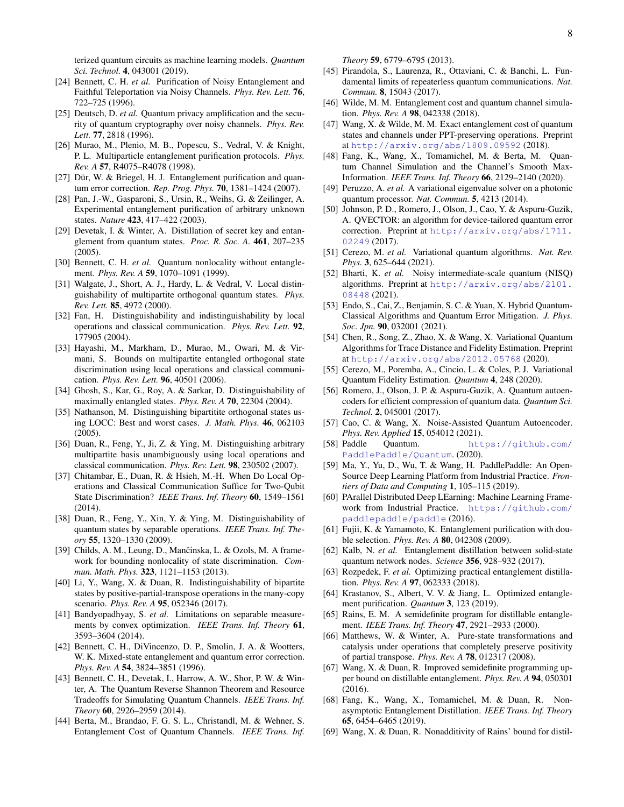terized quantum circuits as machine learning models. *Quantum Sci. Technol.* 4, 043001 (2019).

- <span id="page-7-0"></span>[24] Bennett, C. H. *et al.* Purification of Noisy Entanglement and Faithful Teleportation via Noisy Channels. *Phys. Rev. Lett.* 76, 722–725 (1996).
- <span id="page-7-17"></span>[25] Deutsch, D. *et al.* Quantum privacy amplification and the security of quantum cryptography over noisy channels. *Phys. Rev. Lett.* 77, 2818 (1996).
- [26] Murao, M., Plenio, M. B., Popescu, S., Vedral, V. & Knight, P. L. Multiparticle entanglement purification protocols. *Phys. Rev. A* 57, R4075–R4078 (1998).
- [27] Dür, W. & Briegel, H. J. Entanglement purification and quantum error correction. *Rep. Prog. Phys.* 70, 1381–1424 (2007).
- [28] Pan, J.-W., Gasparoni, S., Ursin, R., Weihs, G. & Zeilinger, A. Experimental entanglement purification of arbitrary unknown states. *Nature* 423, 417–422 (2003).
- <span id="page-7-1"></span>[29] Devetak, I. & Winter, A. Distillation of secret key and entanglement from quantum states. *Proc. R. Soc. A.* 461, 207–235 (2005).
- <span id="page-7-2"></span>[30] Bennett, C. H. *et al.* Quantum nonlocality without entanglement. *Phys. Rev. A* 59, 1070–1091 (1999).
- <span id="page-7-23"></span>[31] Walgate, J., Short, A. J., Hardy, L. & Vedral, V. Local distinguishability of multipartite orthogonal quantum states. *Phys. Rev. Lett.* 85, 4972 (2000).
- [32] Fan, H. Distinguishability and indistinguishability by local operations and classical communication. *Phys. Rev. Lett.* 92, 177905 (2004).
- [33] Hayashi, M., Markham, D., Murao, M., Owari, M. & Virmani, S. Bounds on multipartite entangled orthogonal state discrimination using local operations and classical communication. *Phys. Rev. Lett.* 96, 40501 (2006).
- [34] Ghosh, S., Kar, G., Roy, A. & Sarkar, D. Distinguishability of maximally entangled states. *Phys. Rev. A* 70, 22304 (2004).
- [35] Nathanson, M. Distinguishing bipartitite orthogonal states using LOCC: Best and worst cases. *J. Math. Phys.* 46, 062103 (2005).
- [36] Duan, R., Feng, Y., Ji, Z. & Ying, M. Distinguishing arbitrary multipartite basis unambiguously using local operations and classical communication. *Phys. Rev. Lett.* 98, 230502 (2007).
- [37] Chitambar, E., Duan, R. & Hsieh, M.-H. When Do Local Operations and Classical Communication Suffice for Two-Qubit State Discrimination? *IEEE Trans. Inf. Theory* 60, 1549–1561 (2014).
- [38] Duan, R., Feng, Y., Xin, Y. & Ying, M. Distinguishability of quantum states by separable operations. *IEEE Trans. Inf. Theory* 55, 1320–1330 (2009).
- [39] Childs, A. M., Leung, D., Mančinska, L. & Ozols, M. A framework for bounding nonlocality of state discrimination. *Commun. Math. Phys.* 323, 1121–1153 (2013).
- [40] Li, Y., Wang, X. & Duan, R. Indistinguishability of bipartite states by positive-partial-transpose operations in the many-copy scenario. *Phys. Rev. A* 95, 052346 (2017).
- <span id="page-7-3"></span>[41] Bandyopadhyay, S. *et al.* Limitations on separable measurements by convex optimization. *IEEE Trans. Inf. Theory* 61, 3593–3604 (2014).
- <span id="page-7-4"></span>[42] Bennett, C. H., DiVincenzo, D. P., Smolin, J. A. & Wootters, W. K. Mixed-state entanglement and quantum error correction. *Phys. Rev. A* 54, 3824–3851 (1996).
- [43] Bennett, C. H., Devetak, I., Harrow, A. W., Shor, P. W. & Winter, A. The Quantum Reverse Shannon Theorem and Resource Tradeoffs for Simulating Quantum Channels. *IEEE Trans. Inf. Theory* 60, 2926–2959 (2014).
- [44] Berta, M., Brandao, F. G. S. L., Christandl, M. & Wehner, S. Entanglement Cost of Quantum Channels. *IEEE Trans. Inf.*

*Theory* 59, 6779–6795 (2013).

- <span id="page-7-24"></span>[45] Pirandola, S., Laurenza, R., Ottaviani, C. & Banchi, L. Fundamental limits of repeaterless quantum communications. *Nat. Commun.* 8, 15043 (2017).
- [46] Wilde, M. M. Entanglement cost and quantum channel simulation. *Phys. Rev. A* 98, 042338 (2018).
- [47] Wang, X. & Wilde, M. M. Exact entanglement cost of quantum states and channels under PPT-preserving operations. Preprint at <http://arxiv.org/abs/1809.09592> (2018).
- <span id="page-7-5"></span>[48] Fang, K., Wang, X., Tomamichel, M. & Berta, M. Quantum Channel Simulation and the Channel's Smooth Max-Information. *IEEE Trans. Inf. Theory* 66, 2129–2140 (2020).
- <span id="page-7-6"></span>[49] Peruzzo, A. *et al.* A variational eigenvalue solver on a photonic quantum processor. *Nat. Commun.* 5, 4213 (2014).
- <span id="page-7-7"></span>[50] Johnson, P. D., Romero, J., Olson, J., Cao, Y. & Aspuru-Guzik, A. QVECTOR: an algorithm for device-tailored quantum error correction. Preprint at [http://arxiv.org/abs/1711.](http://arxiv.org/abs/1711.02249) [02249](http://arxiv.org/abs/1711.02249) (2017).
- <span id="page-7-8"></span>[51] Cerezo, M. *et al.* Variational quantum algorithms. *Nat. Rev. Phys.* 3, 625–644 (2021).
- [52] Bharti, K. *et al.* Noisy intermediate-scale quantum (NISQ) algorithms. Preprint at [http://arxiv.org/abs/2101.](http://arxiv.org/abs/2101.08448) [08448](http://arxiv.org/abs/2101.08448) (2021).
- <span id="page-7-9"></span>[53] Endo, S., Cai, Z., Benjamin, S. C. & Yuan, X. Hybrid Quantum-Classical Algorithms and Quantum Error Mitigation. *J. Phys. Soc. Jpn.* 90, 032001 (2021).
- <span id="page-7-10"></span>[54] Chen, R., Song, Z., Zhao, X. & Wang, X. Variational Quantum Algorithms for Trace Distance and Fidelity Estimation. Preprint at <http://arxiv.org/abs/2012.05768> (2020).
- <span id="page-7-11"></span>[55] Cerezo, M., Poremba, A., Cincio, L. & Coles, P. J. Variational Quantum Fidelity Estimation. *Quantum* 4, 248 (2020).
- <span id="page-7-12"></span>[56] Romero, J., Olson, J. P. & Aspuru-Guzik, A. Quantum autoencoders for efficient compression of quantum data. *Quantum Sci. Technol.* 2, 045001 (2017).
- <span id="page-7-13"></span>[57] Cao, C. & Wang, X. Noise-Assisted Quantum Autoencoder. *Phys. Rev. Applied* 15, 054012 (2021).
- <span id="page-7-14"></span>[58] Paddle Quantum. [https://github.com/](https://github.com/PaddlePaddle/Quantum) [PaddlePaddle/Quantum](https://github.com/PaddlePaddle/Quantum). (2020).
- <span id="page-7-15"></span>[59] Ma, Y., Yu, D., Wu, T. & Wang, H. PaddlePaddle: An Open-Source Deep Learning Platform from Industrial Practice. *Frontiers of Data and Computing* 1, 105–115 (2019).
- <span id="page-7-16"></span>[60] PArallel Distributed Deep LEarning: Machine Learning Framework from Industrial Practice. [https://github.com/](https://github.com/paddlepaddle/paddle) [paddlepaddle/paddle](https://github.com/paddlepaddle/paddle) (2016).
- <span id="page-7-18"></span>[61] Fujii, K. & Yamamoto, K. Entanglement purification with double selection. *Phys. Rev. A* 80, 042308 (2009).
- [62] Kalb, N. *et al.* Entanglement distillation between solid-state quantum network nodes. *Science* 356, 928–932 (2017).
- <span id="page-7-20"></span>[63] Rozpedek, F. *et al.* Optimizing practical entanglement distillation. *Phys. Rev. A* 97, 062333 (2018).
- <span id="page-7-19"></span>[64] Krastanov, S., Albert, V. V. & Jiang, L. Optimized entanglement purification. *Quantum* 3, 123 (2019).
- <span id="page-7-21"></span>[65] Rains, E. M. A semidefinite program for distillable entanglement. *IEEE Trans. Inf. Theory* 47, 2921–2933 (2000).
- <span id="page-7-25"></span>[66] Matthews, W. & Winter, A. Pure-state transformations and catalysis under operations that completely preserve positivity of partial transpose. *Phys. Rev. A* 78, 012317 (2008).
- [67] Wang, X. & Duan, R. Improved semidefinite programming upper bound on distillable entanglement. *Phys. Rev. A* 94, 050301 (2016).
- <span id="page-7-26"></span>[68] Fang, K., Wang, X., Tomamichel, M. & Duan, R. Nonasymptotic Entanglement Distillation. *IEEE Trans. Inf. Theory* 65, 6454–6465 (2019).
- <span id="page-7-22"></span>[69] Wang, X. & Duan, R. Nonadditivity of Rains' bound for distil-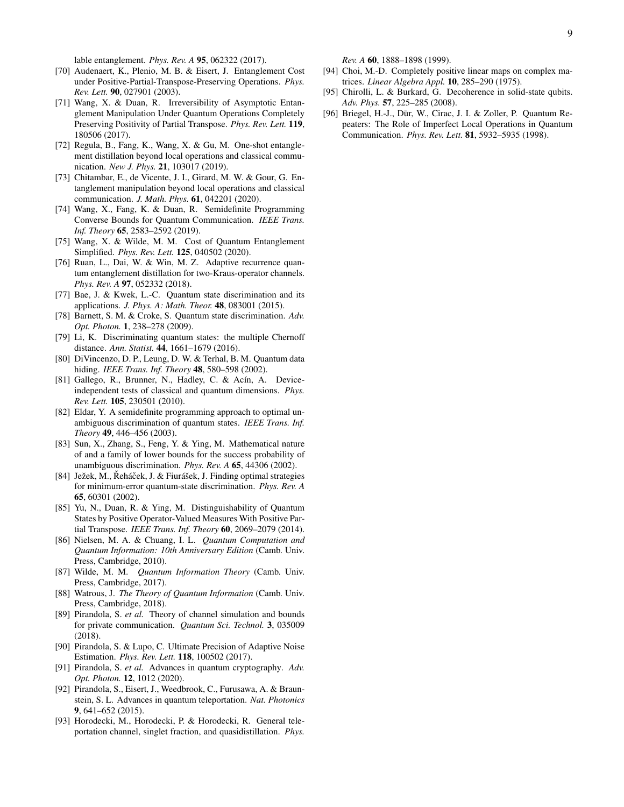lable entanglement. *Phys. Rev. A* 95, 062322 (2017).

- <span id="page-8-0"></span>[70] Audenaert, K., Plenio, M. B. & Eisert, J. Entanglement Cost under Positive-Partial-Transpose-Preserving Operations. *Phys. Rev. Lett.* 90, 027901 (2003).
- [71] Wang, X. & Duan, R. Irreversibility of Asymptotic Entanglement Manipulation Under Quantum Operations Completely Preserving Positivity of Partial Transpose. *Phys. Rev. Lett.* 119, 180506 (2017).
- <span id="page-8-21"></span>[72] Regula, B., Fang, K., Wang, X. & Gu, M. One-shot entanglement distillation beyond local operations and classical communication. *New J. Phys.* 21, 103017 (2019).
- <span id="page-8-20"></span>[73] Chitambar, E., de Vicente, J. I., Girard, M. W. & Gour, G. Entanglement manipulation beyond local operations and classical communication. *J. Math. Phys.* 61, 042201 (2020).
- [74] Wang, X., Fang, K. & Duan, R. Semidefinite Programming Converse Bounds for Quantum Communication. *IEEE Trans. Inf. Theory* 65, 2583–2592 (2019).
- <span id="page-8-1"></span>[75] Wang, X. & Wilde, M. M. Cost of Quantum Entanglement Simplified. *Phys. Rev. Lett.* 125, 040502 (2020).
- <span id="page-8-2"></span>[76] Ruan, L., Dai, W. & Win, M. Z. Adaptive recurrence quantum entanglement distillation for two-Kraus-operator channels. *Phys. Rev. A* 97, 052332 (2018).
- <span id="page-8-3"></span>[77] Bae, J. & Kwek, L.-C. Quantum state discrimination and its applications. *J. Phys. A: Math. Theor.* 48, 083001 (2015).
- [78] Barnett, S. M. & Croke, S. Quantum state discrimination. *Adv. Opt. Photon.* 1, 238–278 (2009).
- <span id="page-8-4"></span>[79] Li, K. Discriminating quantum states: the multiple Chernoff distance. *Ann. Statist.* 44, 1661–1679 (2016).
- <span id="page-8-5"></span>[80] DiVincenzo, D. P., Leung, D. W. & Terhal, B. M. Quantum data hiding. *IEEE Trans. Inf. Theory* 48, 580–598 (2002).
- <span id="page-8-6"></span>[81] Gallego, R., Brunner, N., Hadley, C. & Acín, A. Deviceindependent tests of classical and quantum dimensions. *Phys. Rev. Lett.* 105, 230501 (2010).
- <span id="page-8-7"></span>[82] Eldar, Y. A semidefinite programming approach to optimal unambiguous discrimination of quantum states. *IEEE Trans. Inf. Theory* 49, 446–456 (2003).
- [83] Sun, X., Zhang, S., Feng, Y. & Ying, M. Mathematical nature of and a family of lower bounds for the success probability of unambiguous discrimination. *Phys. Rev. A* 65, 44306 (2002).
- <span id="page-8-8"></span>[84] Ježek, M., Řeháček, J. & Fiurášek, J. Finding optimal strategies for minimum-error quantum-state discrimination. *Phys. Rev. A* 65, 60301 (2002).
- <span id="page-8-9"></span>[85] Yu, N., Duan, R. & Ying, M. Distinguishability of Quantum States by Positive Operator-Valued Measures With Positive Partial Transpose. *IEEE Trans. Inf. Theory* 60, 2069–2079 (2014).
- <span id="page-8-10"></span>[86] Nielsen, M. A. & Chuang, I. L. *Quantum Computation and Quantum Information: 10th Anniversary Edition* (Camb. Univ. Press, Cambridge, 2010).
- [87] Wilde, M. M. *Quantum Information Theory* (Camb. Univ. Press, Cambridge, 2017).
- <span id="page-8-11"></span>[88] Watrous, J. *The Theory of Quantum Information* (Camb. Univ. Press, Cambridge, 2018).
- <span id="page-8-12"></span>[89] Pirandola, S. *et al.* Theory of channel simulation and bounds for private communication. *Quantum Sci. Technol.* 3, 035009 (2018).
- <span id="page-8-13"></span>[90] Pirandola, S. & Lupo, C. Ultimate Precision of Adaptive Noise Estimation. *Phys. Rev. Lett.* 118, 100502 (2017).
- <span id="page-8-14"></span>[91] Pirandola, S. *et al.* Advances in quantum cryptography. *Adv. Opt. Photon.* 12, 1012 (2020).
- <span id="page-8-15"></span>[92] Pirandola, S., Eisert, J., Weedbrook, C., Furusawa, A. & Braunstein, S. L. Advances in quantum teleportation. *Nat. Photonics* 9, 641–652 (2015).
- <span id="page-8-16"></span>[93] Horodecki, M., Horodecki, P. & Horodecki, R. General teleportation channel, singlet fraction, and quasidistillation. *Phys.*

*Rev. A* 60, 1888–1898 (1999).

- <span id="page-8-17"></span>[94] Choi, M.-D. Completely positive linear maps on complex matrices. *Linear Algebra Appl.* 10, 285–290 (1975).
- <span id="page-8-18"></span>[95] Chirolli, L. & Burkard, G. Decoherence in solid-state qubits. *Adv. Phys.* 57, 225–285 (2008).
- <span id="page-8-19"></span>[96] Briegel, H.-J., Dür, W., Cirac, J. I. & Zoller, P. Quantum Repeaters: The Role of Imperfect Local Operations in Quantum Communication. *Phys. Rev. Lett.* 81, 5932–5935 (1998).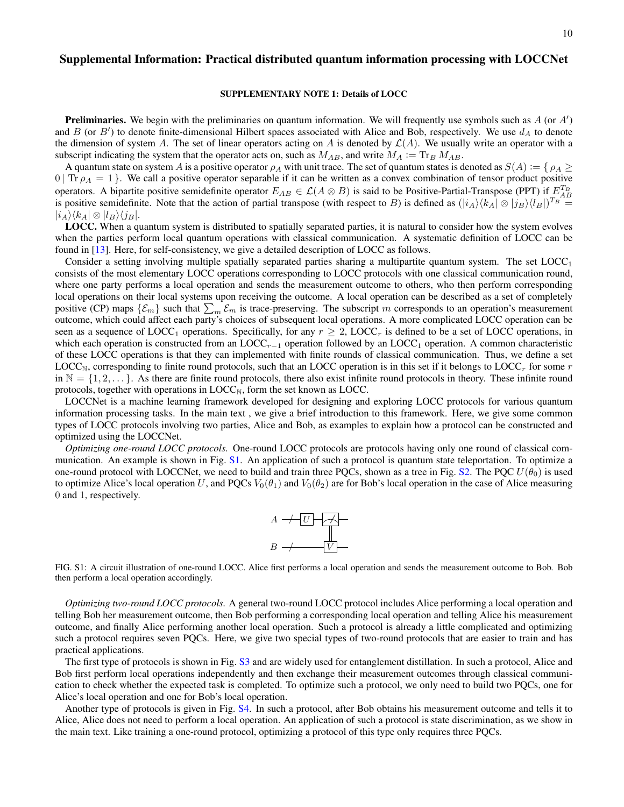# Supplemental Information: Practical distributed quantum information processing with LOCCNet

### SUPPLEMENTARY NOTE 1: Details of LOCC

**Preliminaries.** We begin with the preliminaries on quantum information. We will frequently use symbols such as  $A$  (or  $A'$ ) and  $B$  (or  $B'$ ) to denote finite-dimensional Hilbert spaces associated with Alice and Bob, respectively. We use  $d_A$  to denote the dimension of system A. The set of linear operators acting on A is denoted by  $\mathcal{L}(A)$ . We usually write an operator with a subscript indicating the system that the operator acts on, such as  $M_{AB}$ , and write  $M_A := \text{Tr}_B M_{AB}$ .

A quantum state on system A is a positive operator  $\rho_A$  with unit trace. The set of quantum states is denoted as  $S(A) := \{ \rho_A \geq 0 \}$  $0$  | Tr  $\rho_A = 1$  }. We call a positive operator separable if it can be written as a convex combination of tensor product positive operators. A bipartite positive semidefinite operator  $E_{AB} \in \mathcal{L}(A \otimes B)$  is said to be Positive-Partial-Transpose (PPT) if  $E_{AB}^{T_B}$ is positive semidefinite. Note that the action of partial transpose (with respect to B) is defined as  $(|i_A\rangle\langle k_A| \otimes |j_B\rangle\langle l_B|)^{T_B} =$  $|i_A\rangle\langle k_A|\otimes |l_B\rangle\langle i_B|$ .

LOCC. When a quantum system is distributed to spatially separated parties, it is natural to consider how the system evolves when the parties perform local quantum operations with classical communication. A systematic definition of LOCC can be found in [\[13\]](#page-6-12). Here, for self-consistency, we give a detailed description of LOCC as follows.

Consider a setting involving multiple spatially separated parties sharing a multipartite quantum system. The set  $LOCC<sub>1</sub>$ consists of the most elementary LOCC operations corresponding to LOCC protocols with one classical communication round, where one party performs a local operation and sends the measurement outcome to others, who then perform corresponding local operations on their local systems upon receiving the outcome. A local operation can be described as a set of completely positive (CP) maps  $\{\mathcal{E}_m\}$  such that  $\sum_m \mathcal{E}_m$  is trace-preserving. The subscript m corresponds to an operation's measurement outcome, which could affect each party's choices of subsequent local operations. A more complicated LOCC operation can be seen as a sequence of  $LOC_1$  operations. Specifically, for any  $r \geq 2$ ,  $LOC_r$  is defined to be a set of LOCC operations, in which each operation is constructed from an LOCC<sub>r</sub> $-1$  operation followed by an LOCC<sub>1</sub> operation. A common characteristic of these LOCC operations is that they can implemented with finite rounds of classical communication. Thus, we define a set  $\text{LOCC}_{\text{N}}$ , corresponding to finite round protocols, such that an LOCC operation is in this set if it belongs to LOCC<sub>r</sub> for some r in  $\mathbb{N} = \{1, 2, \dots\}$ . As there are finite round protocols, there also exist infinite round protocols in theory. These infinite round protocols, together with operations in  $LOC_{N}$ , form the set known as LOCC.

LOCCNet is a machine learning framework developed for designing and exploring LOCC protocols for various quantum information processing tasks. In the main text , we give a brief introduction to this framework. Here, we give some common types of LOCC protocols involving two parties, Alice and Bob, as examples to explain how a protocol can be constructed and optimized using the LOCCNet.

*Optimizing one-round LOCC protocols.* One-round LOCC protocols are protocols having only one round of classical communication. An example is shown in Fig. [S1.](#page-9-0) An application of such a protocol is quantum state teleportation. To optimize a one-round protocol with LOCCNet, we need to build and train three PQCs, shown as a tree in Fig. [S2.](#page-10-0) The PQC  $U(\theta_0)$  is used to optimize Alice's local operation U, and PQCs  $V_0(\theta_1)$  and  $V_0(\theta_2)$  are for Bob's local operation in the case of Alice measuring 0 and 1, respectively.



<span id="page-9-0"></span>FIG. S1: A circuit illustration of one-round LOCC. Alice first performs a local operation and sends the measurement outcome to Bob. Bob then perform a local operation accordingly.

*Optimizing two-round LOCC protocols.* A general two-round LOCC protocol includes Alice performing a local operation and telling Bob her measurement outcome, then Bob performing a corresponding local operation and telling Alice his measurement outcome, and finally Alice performing another local operation. Such a protocol is already a little complicated and optimizing such a protocol requires seven PQCs. Here, we give two special types of two-round protocols that are easier to train and has practical applications.

The first type of protocols is shown in Fig. [S3](#page-10-1) and are widely used for entanglement distillation. In such a protocol, Alice and Bob first perform local operations independently and then exchange their measurement outcomes through classical communication to check whether the expected task is completed. To optimize such a protocol, we only need to build two PQCs, one for Alice's local operation and one for Bob's local operation.

Another type of protocols is given in Fig. [S4.](#page-10-2) In such a protocol, after Bob obtains his measurement outcome and tells it to Alice, Alice does not need to perform a local operation. An application of such a protocol is state discrimination, as we show in the main text. Like training a one-round protocol, optimizing a protocol of this type only requires three PQCs.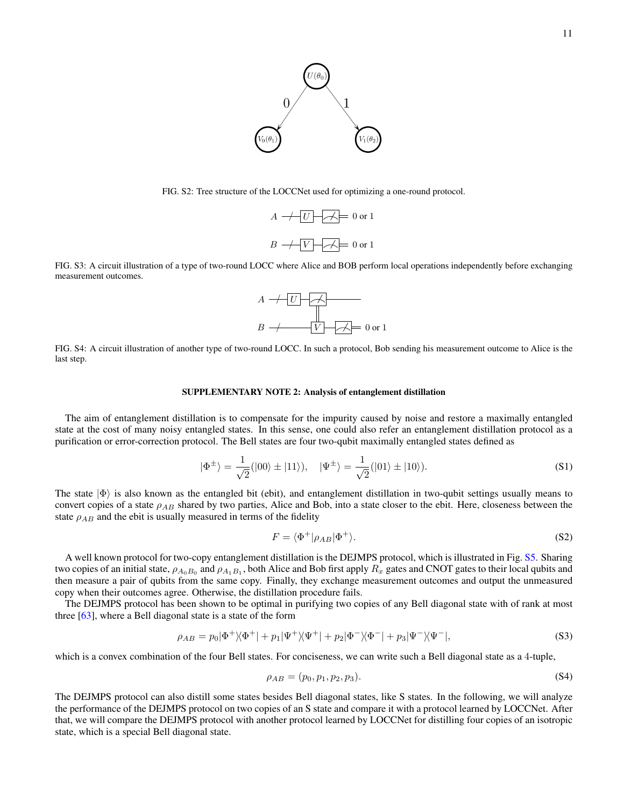

<span id="page-10-0"></span>FIG. S2: Tree structure of the LOCCNet used for optimizing a one-round protocol.



<span id="page-10-1"></span>FIG. S3: A circuit illustration of a type of two-round LOCC where Alice and BOB perform local operations independently before exchanging measurement outcomes.



<span id="page-10-2"></span>FIG. S4: A circuit illustration of another type of two-round LOCC. In such a protocol, Bob sending his measurement outcome to Alice is the last step.

#### SUPPLEMENTARY NOTE 2: Analysis of entanglement distillation

The aim of entanglement distillation is to compensate for the impurity caused by noise and restore a maximally entangled state at the cost of many noisy entangled states. In this sense, one could also refer an entanglement distillation protocol as a purification or error-correction protocol. The Bell states are four two-qubit maximally entangled states defined as

$$
|\Phi^{\pm}\rangle = \frac{1}{\sqrt{2}}(|00\rangle \pm |11\rangle), \quad |\Psi^{\pm}\rangle = \frac{1}{\sqrt{2}}(|01\rangle \pm |10\rangle).
$$
 (S1)

The state  $|\Phi\rangle$  is also known as the entangled bit (ebit), and entanglement distillation in two-qubit settings usually means to convert copies of a state  $\rho_{AB}$  shared by two parties, Alice and Bob, into a state closer to the ebit. Here, closeness between the state  $\rho_{AB}$  and the ebit is usually measured in terms of the fidelity

$$
F = \langle \Phi^+ | \rho_{AB} | \Phi^+ \rangle. \tag{S2}
$$

A well known protocol for two-copy entanglement distillation is the DEJMPS protocol, which is illustrated in Fig. [S5.](#page-11-0) Sharing two copies of an initial state,  $\rho_{A_0B_0}$  and  $\rho_{A_1B_1}$ , both Alice and Bob first apply  $R_x$  gates and CNOT gates to their local qubits and then measure a pair of qubits from the same copy. Finally, they exchange measurement outcomes and output the unmeasured copy when their outcomes agree. Otherwise, the distillation procedure fails.

The DEJMPS protocol has been shown to be optimal in purifying two copies of any Bell diagonal state with of rank at most three [\[63\]](#page-7-20), where a Bell diagonal state is a state of the form

$$
\rho_{AB} = p_0 |\Phi^+ \rangle \langle \Phi^+| + p_1 |\Psi^+ \rangle \langle \Psi^+| + p_2 |\Phi^- \rangle \langle \Phi^-| + p_3 |\Psi^- \rangle \langle \Psi^-|,\tag{S3}
$$

which is a convex combination of the four Bell states. For conciseness, we can write such a Bell diagonal state as a 4-tuple,

$$
\rho_{AB} = (p_0, p_1, p_2, p_3). \tag{S4}
$$

The DEJMPS protocol can also distill some states besides Bell diagonal states, like S states. In the following, we will analyze the performance of the DEJMPS protocol on two copies of an S state and compare it with a protocol learned by LOCCNet. After that, we will compare the DEJMPS protocol with another protocol learned by LOCCNet for distilling four copies of an isotropic state, which is a special Bell diagonal state.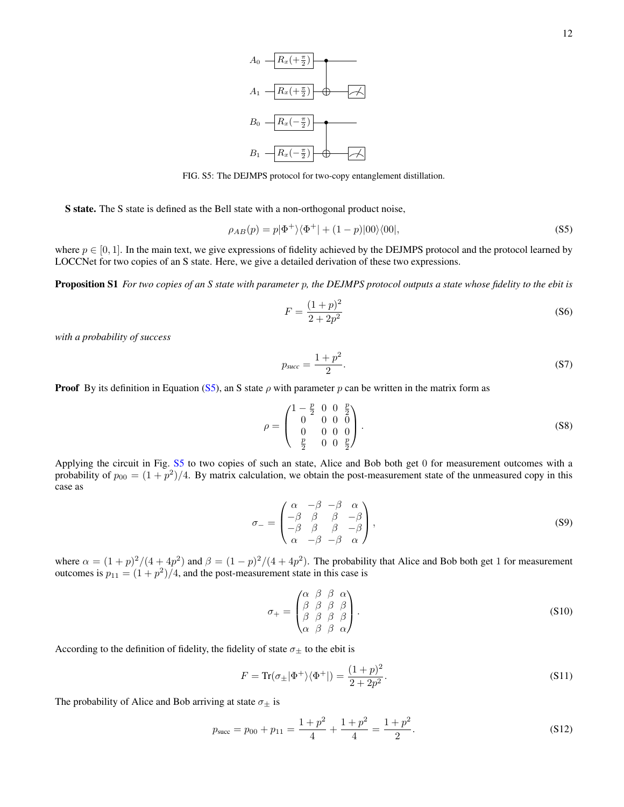

<span id="page-11-0"></span>FIG. S5: The DEJMPS protocol for two-copy entanglement distillation.

S state. The S state is defined as the Bell state with a non-orthogonal product noise,

$$
\rho_{AB}(p) = p|\Phi^+\rangle\langle\Phi^+| + (1-p)|00\rangle\langle00|,\tag{S5}
$$

where  $p \in [0, 1]$ . In the main text, we give expressions of fidelity achieved by the DEJMPS protocol and the protocol learned by LOCCNet for two copies of an S state. Here, we give a detailed derivation of these two expressions.

Proposition S1 *For two copies of an S state with parameter* p*, the DEJMPS protocol outputs a state whose fidelity to the ebit is*

<span id="page-11-1"></span>
$$
F = \frac{(1+p)^2}{2+2p^2}
$$
 (S6)

*with a probability of success*

<span id="page-11-2"></span>
$$
p_{succ} = \frac{1+p^2}{2}.\tag{S7}
$$

**Proof** By its definition in Equation [\(S5\)](#page-11-1), an S state  $\rho$  with parameter p can be written in the matrix form as

$$
\rho = \begin{pmatrix} 1 - \frac{p}{2} & 0 & 0 & \frac{p}{2} \\ 0 & 0 & 0 & 0 \\ 0 & 0 & 0 & 0 \\ \frac{p}{2} & 0 & 0 & \frac{p}{2} \end{pmatrix} .
$$
 (S8)

Applying the circuit in Fig. [S5](#page-11-0) to two copies of such an state, Alice and Bob both get 0 for measurement outcomes with a probability of  $p_{00} = (1+p^2)/4$ . By matrix calculation, we obtain the post-measurement state of the unmeasured copy in this case as

$$
\sigma_{-} = \begin{pmatrix}\n\alpha & -\beta & -\beta & \alpha \\
-\beta & \beta & \beta & -\beta \\
-\beta & \beta & \beta & -\beta \\
\alpha & -\beta & -\beta & \alpha\n\end{pmatrix},
$$
\n(S9)

where  $\alpha = (1+p)^2/(4+4p^2)$  and  $\beta = (1-p)^2/(4+4p^2)$ . The probability that Alice and Bob both get 1 for measurement outcomes is  $p_{11} = (1 + p^2)/4$ , and the post-measurement state in this case is

$$
\sigma_{+} = \begin{pmatrix} \alpha & \beta & \beta & \alpha \\ \beta & \beta & \beta & \beta \\ \beta & \beta & \beta & \beta \\ \alpha & \beta & \beta & \alpha \end{pmatrix} .
$$
 (S10)

According to the definition of fidelity, the fidelity of state  $\sigma_{\pm}$  to the ebit is

$$
F = \text{Tr}(\sigma_{\pm}|\Phi^{+}\rangle\langle\Phi^{+}|) = \frac{(1+p)^{2}}{2+2p^{2}}.
$$
\n
$$
(S11)
$$

The probability of Alice and Bob arriving at state  $\sigma_{\pm}$  is

$$
p_{succ} = p_{00} + p_{11} = \frac{1+p^2}{4} + \frac{1+p^2}{4} = \frac{1+p^2}{2}.
$$
 (S12)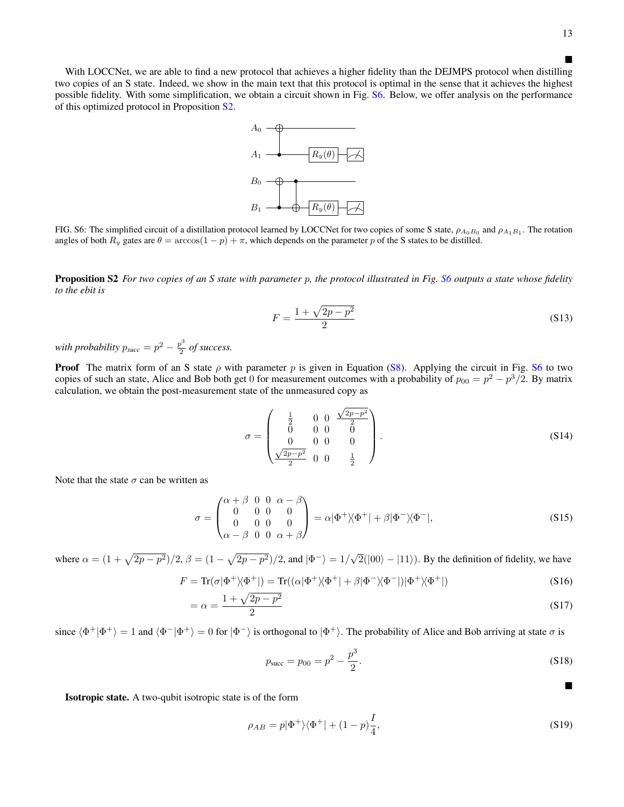$\blacksquare$ 

п

With LOCCNet, we are able to find a new protocol that achieves a higher fidelity than the DEJMPS protocol when distilling two copies of an S state. Indeed, we show in the main text that this protocol is optimal in the sense that it achieves the highest possible fidelity. With some simplification, we obtain a circuit shown in Fig. [S6.](#page-12-0) Below, we offer analysis on the performance of this optimized protocol in Proposition [S2.](#page-12-1)



<span id="page-12-0"></span>FIG. S6: The simplified circuit of a distillation protocol learned by LOCCNet for two copies of some S state,  $\rho_{A_0B_0}$  and  $\rho_{A_1B_1}$ . The rotation angles of both  $R_y$  gates are  $\theta = \arccos(1 - p) + \pi$ , which depends on the parameter p of the S states to be distilled.

<span id="page-12-1"></span>Proposition S2 *For two copies of an S state with parameter* p*, the protocol illustrated in Fig. [S6](#page-12-0) outputs a state whose fidelity to the ebit is*

$$
F = \frac{1 + \sqrt{2p - p^2}}{2}
$$
 (S13)

*with probability*  $p_{succ} = p^2 - \frac{p^3}{2}$  $\frac{p}{2}$  of success.

**Proof** The matrix form of an S state  $\rho$  with parameter p is given in Equation [\(S8\)](#page-11-2). Applying the circuit in Fig. [S6](#page-12-0) to two copies of such an state, Alice and Bob both get 0 for measurement outcomes with a probability of  $p_{00} = p^2 - p^3/2$ . By matrix calculation, we obtain the post-measurement state of the unmeasured copy as

$$
\sigma = \begin{pmatrix} \frac{1}{2} & 0 & 0 & \frac{\sqrt{2p-p^2}}{2} \\ 0 & 0 & 0 & 0 \\ 0 & 0 & 0 & 0 \\ \frac{\sqrt{2p-p^2}}{2} & 0 & 0 & \frac{1}{2} \end{pmatrix}.
$$
 (S14)

Note that the state  $\sigma$  can be written as

$$
\sigma = \begin{pmatrix} \alpha + \beta & 0 & 0 & \alpha - \beta \\ 0 & 0 & 0 & 0 \\ 0 & 0 & 0 & 0 \\ \alpha - \beta & 0 & 0 & \alpha + \beta \end{pmatrix} = \alpha |\Phi^+ \rangle \langle \Phi^+ | + \beta | \Phi^- \rangle \langle \Phi^- |,
$$
 (S15)

where  $\alpha = (1 + \sqrt{2p - p^2})/2$ ,  $\beta = (1 - \sqrt{2p - p^2})/2$ , and  $|\Phi^{-}\rangle = 1/\sqrt{2p - p^2}$  $2(|00\rangle - |11\rangle)$ . By the definition of fidelity, we have

$$
F = \text{Tr}(\sigma|\Phi^+\rangle\langle\Phi^+|) = \text{Tr}((\alpha|\Phi^+\rangle\langle\Phi^+| + \beta|\Phi^-\rangle\langle\Phi^-|)|\Phi^+\rangle\langle\Phi^+|)
$$
(S16)

$$
=\alpha = \frac{1 + \sqrt{2p - p^2}}{2}
$$
 (S17)

since  $\langle \Phi^+|\Phi^+\rangle = 1$  and  $\langle \Phi^-|\Phi^+\rangle = 0$  for  $|\Phi^-\rangle$  is orthogonal to  $|\Phi^+\rangle$ . The probability of Alice and Bob arriving at state  $\sigma$  is

$$
p_{\text{succ}} = p_{00} = p^2 - \frac{p^3}{2}.
$$
 (S18)

Isotropic state. A two-qubit isotropic state is of the form

$$
\rho_{AB} = p|\Phi^+\rangle\langle\Phi^+| + (1-p)\frac{I}{4},\tag{S19}
$$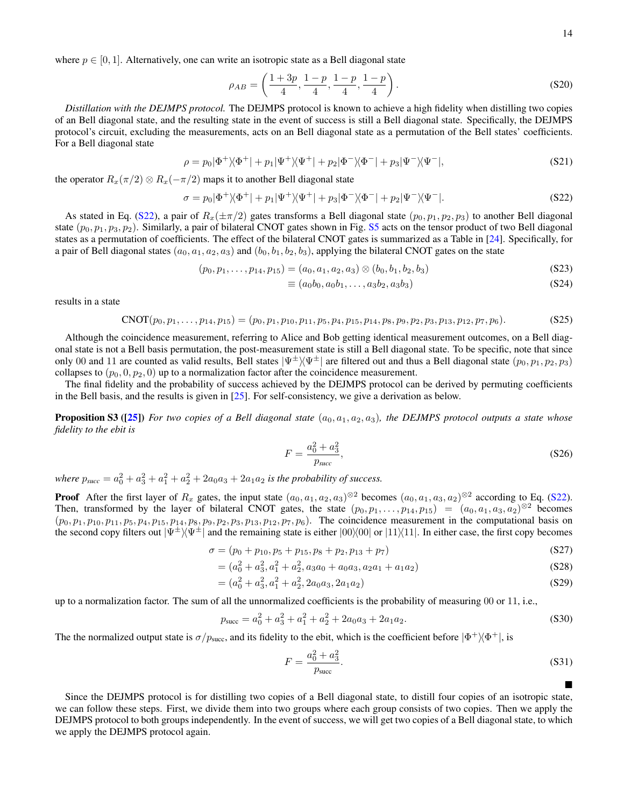$\blacksquare$ 

where  $p \in [0, 1]$ . Alternatively, one can write an isotropic state as a Bell diagonal state

$$
\rho_{AB} = \left(\frac{1+3p}{4}, \frac{1-p}{4}, \frac{1-p}{4}, \frac{1-p}{4}\right). \tag{S20}
$$

*Distillation with the DEJMPS protocol.* The DEJMPS protocol is known to achieve a high fidelity when distilling two copies of an Bell diagonal state, and the resulting state in the event of success is still a Bell diagonal state. Specifically, the DEJMPS protocol's circuit, excluding the measurements, acts on an Bell diagonal state as a permutation of the Bell states' coefficients. For a Bell diagonal state

$$
\rho = p_0 |\Phi^+ \rangle \langle \Phi^+| + p_1 |\Psi^+ \rangle \langle \Psi^+| + p_2 |\Phi^- \rangle \langle \Phi^-| + p_3 |\Psi^- \rangle \langle \Psi^-|,\tag{S21}
$$

the operator  $R_x(\pi/2) \otimes R_x(-\pi/2)$  maps it to another Bell diagonal state

$$
\sigma = p_0 |\Phi^+ \rangle \langle \Phi^+| + p_1 |\Psi^+ \rangle \langle \Psi^+| + p_3 |\Phi^- \rangle \langle \Phi^-| + p_2 |\Psi^- \rangle \langle \Psi^-|.
$$
\n
$$
(S22)
$$

As stated in Eq. [\(S22\)](#page-13-0), a pair of  $R_x(\pm \pi/2)$  gates transforms a Bell diagonal state  $(p_0, p_1, p_2, p_3)$  to another Bell diagonal state  $(p_0, p_1, p_3, p_2)$ . Similarly, a pair of bilateral CNOT gates shown in Fig. [S5](#page-11-0) acts on the tensor product of two Bell diagonal states as a permutation of coefficients. The effect of the bilateral CNOT gates is summarized as a Table in [\[24\]](#page-7-0). Specifically, for a pair of Bell diagonal states  $(a_0, a_1, a_2, a_3)$  and  $(b_0, b_1, b_2, b_3)$ , applying the bilateral CNOT gates on the state

$$
(p_0, p_1, \ldots, p_{14}, p_{15}) = (a_0, a_1, a_2, a_3) \otimes (b_0, b_1, b_2, b_3)
$$
 (S23)

<span id="page-13-0"></span>
$$
\equiv (a_0b_0, a_0b_1, \dots, a_3b_2, a_3b_3) \tag{S24}
$$

results in a state

$$
CNOT(p_0, p_1, \ldots, p_{14}, p_{15}) = (p_0, p_1, p_{10}, p_{11}, p_5, p_4, p_{15}, p_{14}, p_8, p_9, p_2, p_3, p_{13}, p_{12}, p_7, p_6). \tag{S25}
$$

Although the coincidence measurement, referring to Alice and Bob getting identical measurement outcomes, on a Bell diagonal state is not a Bell basis permutation, the post-measurement state is still a Bell diagonal state. To be specific, note that since only 00 and 11 are counted as valid results, Bell states  $|\Psi^{\pm}\rangle\langle\Psi^{\pm}|$  are filtered out and thus a Bell diagonal state  $(p_0, p_1, p_2, p_3)$ collapses to  $(p_0, 0, p_2, 0)$  up to a normalization factor after the coincidence measurement.

The final fidelity and the probability of success achieved by the DEJMPS protocol can be derived by permuting coefficients in the Bell basis, and the results is given in [\[25\]](#page-7-17). For self-consistency, we give a derivation as below.

<span id="page-13-1"></span>**Proposition S3 ([\[25\]](#page-7-17))** *For two copies of a Bell diagonal state* ( $a_0, a_1, a_2, a_3$ )*, the DEJMPS protocol outputs a state whose fidelity to the ebit is*

$$
F = \frac{a_0^2 + a_3^2}{p_{succ}},
$$
 (S26)

*where*  $p_{succ} = a_0^2 + a_3^2 + a_1^2 + a_2^2 + 2a_0a_3 + 2a_1a_2$  *is the probability of success.* 

**Proof** After the first layer of  $R_x$  gates, the input state  $(a_0, a_1, a_2, a_3)^{\otimes 2}$  becomes  $(a_0, a_1, a_3, a_2)^{\otimes 2}$  according to Eq. [\(S22\)](#page-13-0). Then, transformed by the layer of bilateral CNOT gates, the state  $(p_0, p_1, \ldots, p_{14}, p_{15}) = (a_0, a_1, a_3, a_2)^{\otimes 2}$  becomes  $(p_0, p_1, p_{10}, p_{11}, p_5, p_4, p_{15}, p_{14}, p_8, p_9, p_2, p_3, p_{13}, p_{12}, p_7, p_6)$ . The coincidence measurement in the computational basis on the second copy filters out  $|\Psi^{\pm}\rangle\langle\Psi^{\pm}|$  and the remaining state is either  $|00\rangle\langle00|$  or  $|11\rangle\langle11|$ . In either case, the first copy becomes

$$
\sigma = (p_0 + p_{10}, p_5 + p_{15}, p_8 + p_{2}, p_{13} + p_7) \tag{S27}
$$

$$
= (a_0^2 + a_3^2, a_1^2 + a_2^2, a_3a_0 + a_0a_3, a_2a_1 + a_1a_2)
$$
\n(S28)

$$
= (a_0^2 + a_3^2, a_1^2 + a_2^2, 2a_0a_3, 2a_1a_2)
$$
\n(S29)

up to a normalization factor. The sum of all the unnormalized coefficients is the probability of measuring 00 or 11, i.e.,

$$
p_{\text{succ}} = a_0^2 + a_3^2 + a_1^2 + a_2^2 + 2a_0 a_3 + 2a_1 a_2. \tag{S30}
$$

The the normalized output state is  $\sigma/p_{succ}$ , and its fidelity to the ebit, which is the coefficient before  $|\Phi^+\rangle\langle\Phi^+|$ , is

$$
F = \frac{a_0^2 + a_3^2}{p_{\text{succ}}}.
$$
 (S31)

Since the DEJMPS protocol is for distilling two copies of a Bell diagonal state, to distill four copies of an isotropic state, we can follow these steps. First, we divide them into two groups where each group consists of two copies. Then we apply the DEJMPS protocol to both groups independently. In the event of success, we will get two copies of a Bell diagonal state, to which we apply the DEJMPS protocol again.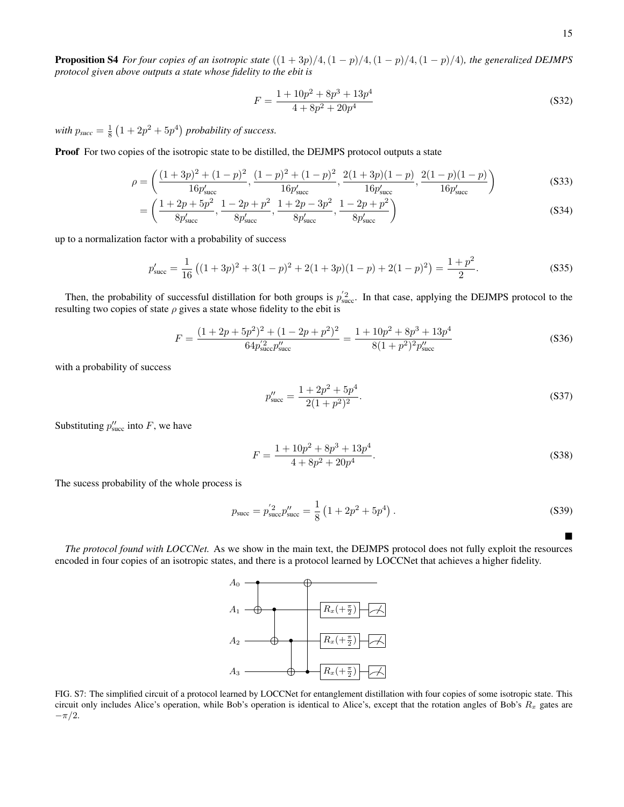**Proposition S4** *For four copies of an isotropic state*  $((1 + 3p)/4, (1 - p)/4, (1 - p)/4, (1 - p)/4)$ *, the generalized DEJMPS protocol given above outputs a state whose fidelity to the ebit is*

$$
F = \frac{1 + 10p^2 + 8p^3 + 13p^4}{4 + 8p^2 + 20p^4}
$$
\n(S32)

with  $p_{succ} = \frac{1}{8} \left( 1 + 2p^2 + 5p^4 \right)$  probability of success.

Proof For two copies of the isotropic state to be distilled, the DEJMPS protocol outputs a state

$$
\rho = \left( \frac{(1+3p)^2 + (1-p)^2}{16p'_{\text{succ}}}, \frac{(1-p)^2 + (1-p)^2}{16p'_{\text{succ}}}, \frac{2(1+3p)(1-p)}{16p'_{\text{succ}}}, \frac{2(1-p)(1-p)}{16p'_{\text{succ}}} \right)
$$
(S33)

$$
= \left(\frac{1+2p+5p^2}{8p'_{\text{succ}}}, \frac{1-2p+p^2}{8p'_{\text{succ}}}, \frac{1+2p-3p^2}{8p'_{\text{succ}}}, \frac{1-2p+p^2}{8p'_{\text{succ}}}\right)
$$
(S34)

up to a normalization factor with a probability of success

$$
p'_{\text{succ}} = \frac{1}{16} \left( (1+3p)^2 + 3(1-p)^2 + 2(1+3p)(1-p) + 2(1-p)^2 \right) = \frac{1+p^2}{2}.
$$
 (S35)

Then, the probability of successful distillation for both groups is  $p'_{succ}$ . In that case, applying the DEJMPS protocol to the resulting two copies of state  $\rho$  gives a state whose fidelity to the ebit is

$$
F = \frac{(1+2p+5p^2)^2 + (1-2p+p^2)^2}{64p_{\text{succ}}^2 p_{\text{succ}}^{\prime\prime}} = \frac{1+10p^2+8p^3+13p^4}{8(1+p^2)^2 p_{\text{succ}}^{\prime\prime}} \tag{S36}
$$

with a probability of success

$$
p_{\text{succ}}'' = \frac{1 + 2p^2 + 5p^4}{2(1 + p^2)^2}.
$$
 (S37)

Substituting  $p''_{\text{succ}}$  into F, we have

$$
F = \frac{1 + 10p^2 + 8p^3 + 13p^4}{4 + 8p^2 + 20p^4}.
$$
 (S38)

The sucess probability of the whole process is

$$
p_{\text{succ}} = p_{\text{succ}}^{'2} p_{\text{succ}}'' = \frac{1}{8} \left( 1 + 2p^2 + 5p^4 \right). \tag{S39}
$$

*The protocol found with LOCCNet.* As we show in the main text, the DEJMPS protocol does not fully exploit the resources encoded in four copies of an isotropic states, and there is a protocol learned by LOCCNet that achieves a higher fidelity.



<span id="page-14-0"></span>FIG. S7: The simplified circuit of a protocol learned by LOCCNet for entanglement distillation with four copies of some isotropic state. This circuit only includes Alice's operation, while Bob's operation is identical to Alice's, except that the rotation angles of Bob's  $R_x$  gates are  $-\pi/2$ .

 $\blacksquare$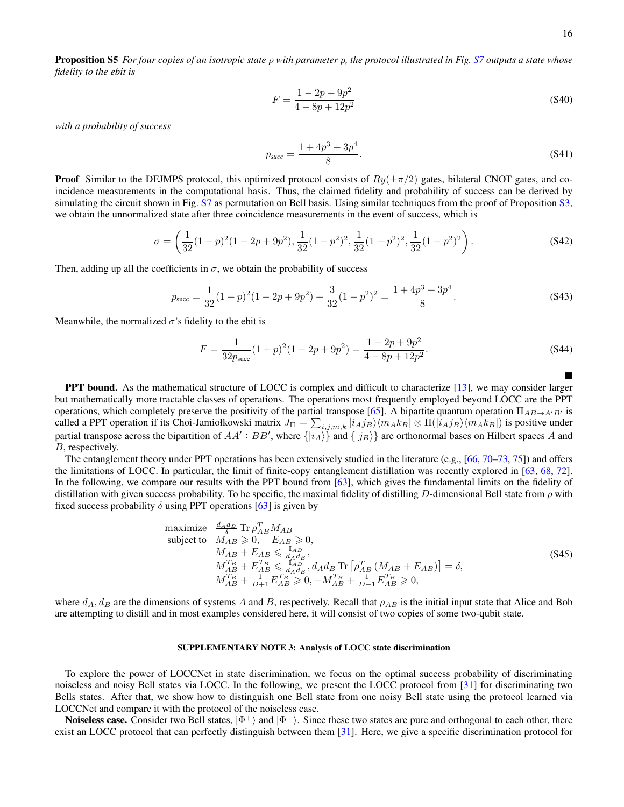$\blacksquare$ 

Proposition S5 *For four copies of an isotropic state* ρ *with parameter* p*, the protocol illustrated in Fig. [S7](#page-14-0) outputs a state whose fidelity to the ebit is*

$$
F = \frac{1 - 2p + 9p^2}{4 - 8p + 12p^2}
$$
 (S40)

*with a probability of success*

$$
p_{succ} = \frac{1 + 4p^3 + 3p^4}{8}.
$$
 (S41)

**Proof** Similar to the DEJMPS protocol, this optimized protocol consists of  $R_y(\pm \pi/2)$  gates, bilateral CNOT gates, and coincidence measurements in the computational basis. Thus, the claimed fidelity and probability of success can be derived by simulating the circuit shown in Fig. [S7](#page-14-0) as permutation on Bell basis. Using similar techniques from the proof of Proposition [S3,](#page-13-1) we obtain the unnormalized state after three coincidence measurements in the event of success, which is

$$
\sigma = \left(\frac{1}{32}(1+p)^2(1-2p+9p^2), \frac{1}{32}(1-p^2)^2, \frac{1}{32}(1-p^2)^2, \frac{1}{32}(1-p^2)^2\right). \tag{S42}
$$

Then, adding up all the coefficients in  $\sigma$ , we obtain the probability of success

$$
p_{succ} = \frac{1}{32}(1+p)^2(1-2p+9p^2) + \frac{3}{32}(1-p^2)^2 = \frac{1+4p^3+3p^4}{8}.
$$
 (S43)

Meanwhile, the normalized  $\sigma$ 's fidelity to the ebit is

$$
F = \frac{1}{32p_{\text{succ}}} (1+p)^2 (1-2p+9p^2) = \frac{1-2p+9p^2}{4-8p+12p^2}.
$$
 (S44)

PPT bound. As the mathematical structure of LOCC is complex and difficult to characterize [\[13\]](#page-6-12), we may consider larger but mathematically more tractable classes of operations. The operations most frequently employed beyond LOCC are the PPT operations, which completely preserve the positivity of the partial transpose [\[65\]](#page-7-21). A bipartite quantum operation  $\Pi_{AB\rightarrow A'B'}$  is called a PPT operation if its Choi-Jamiołkowski matrix  $J_{\Pi} = \sum_{i,j,m,k} |i_A j_B\rangle\langle m_A k_B| \otimes \Pi(|i_A j_B\rangle\langle m_A k_B|)$  is positive under partial transpose across the bipartition of  $AA':BB'$ , where  $\{|i_A\rangle\}$  and  $\{|j_B\rangle\}$  are orthonormal bases on Hilbert spaces A and B, respectively.

The entanglement theory under PPT operations has been extensively studied in the literature (e.g.,  $[66, 70-73, 75]$  $[66, 70-73, 75]$  $[66, 70-73, 75]$  $[66, 70-73, 75]$  $[66, 70-73, 75]$ ) and offers the limitations of LOCC. In particular, the limit of finite-copy entanglement distillation was recently explored in [\[63,](#page-7-20) [68,](#page-7-26) [72\]](#page-8-21). In the following, we compare our results with the PPT bound from [\[63\]](#page-7-20), which gives the fundamental limits on the fidelity of distillation with given success probability. To be specific, the maximal fidelity of distilling D-dimensional Bell state from  $\rho$  with fixed success probability  $\delta$  using PPT operations [\[63\]](#page-7-20) is given by

maximize 
$$
\frac{d_A d_B}{\delta} \text{Tr} \rho_{AB}^T M_{AB}
$$
  
\nsubject to  $M_{AB} \ge 0$ ,  $E_{AB} \ge 0$ ,  
\n $M_{AB} + E_{AB} \le \frac{\mathbb{I}_{AB}}{d_A d_B}$ ,  
\n $M_{AB}^T + E_{AB}^T \le \frac{\mathbb{I}_{AB}}{d_A d_B}$ ,  $d_A d_B \text{Tr} \left[ \rho_{AB}^T (M_{AB} + E_{AB}) \right] = \delta$ ,  
\n $M_{AB}^T + \frac{1}{D+1} E_{AB}^T \ge 0$ ,  $-M_{AB}^{T_B} + \frac{1}{D-1} E_{AB}^{T_B} \ge 0$ , (S45)

where  $d_A$ ,  $d_B$  are the dimensions of systems A and B, respectively. Recall that  $\rho_{AB}$  is the initial input state that Alice and Bob are attempting to distill and in most examples considered here, it will consist of two copies of some two-qubit state.

### SUPPLEMENTARY NOTE 3: Analysis of LOCC state discrimination

To explore the power of LOCCNet in state discrimination, we focus on the optimal success probability of discriminating noiseless and noisy Bell states via LOCC. In the following, we present the LOCC protocol from [\[31\]](#page-7-23) for discriminating two Bells states. After that, we show how to distinguish one Bell state from one noisy Bell state using the protocol learned via LOCCNet and compare it with the protocol of the noiseless case.

**Noiseless case.** Consider two Bell states,  $|\Phi^+\rangle$  and  $|\Phi^-\rangle$ . Since these two states are pure and orthogonal to each other, there exist an LOCC protocol that can perfectly distinguish between them [\[31\]](#page-7-23). Here, we give a specific discrimination protocol for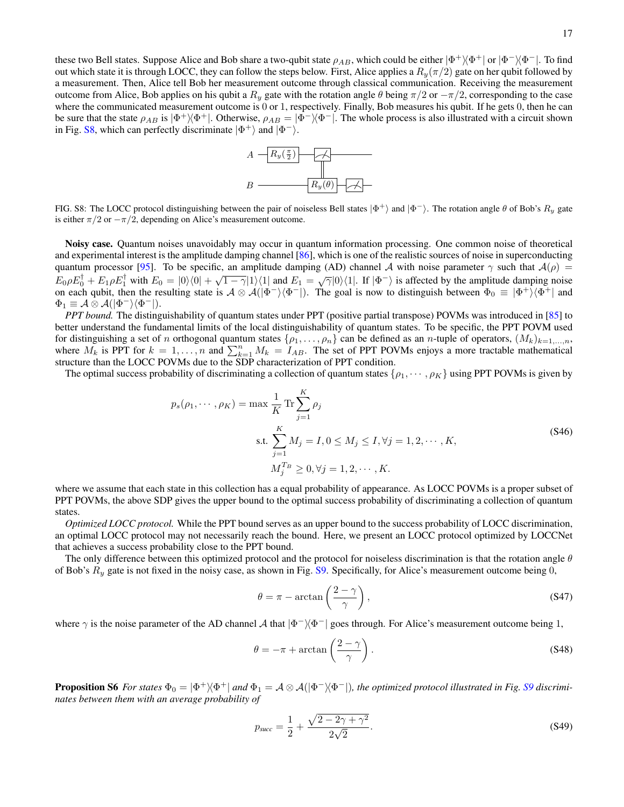these two Bell states. Suppose Alice and Bob share a two-qubit state  $\rho_{AB}$ , which could be either  $|\Phi^+\rangle\langle\Phi^+|$  or  $|\Phi^-\rangle\langle\Phi^-|$ . To find out which state it is through LOCC, they can follow the steps below. First, Alice applies a  $R_y(\pi/2)$  gate on her qubit followed by a measurement. Then, Alice tell Bob her measurement outcome through classical communication. Receiving the measurement outcome from Alice, Bob applies on his qubit a  $R_y$  gate with the rotation angle θ being  $\pi/2$  or  $-\pi/2$ , corresponding to the case where the communicated measurement outcome is 0 or 1, respectively. Finally, Bob measures his qubit. If he gets 0, then he can be sure that the state  $\rho_{AB}$  is  $|\Phi^+\rangle\langle\Phi^+|$ . Otherwise,  $\rho_{AB} = |\Phi^-\rangle\langle\Phi^-|$ . The whole process is also illustrated with a circuit shown in Fig. [S8,](#page-16-0) which can perfectly discriminate  $|\Phi^+\rangle$  and  $|\Phi^-\rangle$ .



<span id="page-16-0"></span>FIG. S8: The LOCC protocol distinguishing between the pair of noiseless Bell states  $|\Phi^+\rangle$  and  $|\Phi^-\rangle$ . The rotation angle  $\theta$  of Bob's  $R_y$  gate is either  $\pi/2$  or  $-\pi/2$ , depending on Alice's measurement outcome.

Noisy case. Quantum noises unavoidably may occur in quantum information processing. One common noise of theoretical and experimental interest is the amplitude damping channel [\[86\]](#page-8-10), which is one of the realistic sources of noise in superconducting quantum processor [\[95\]](#page-8-18). To be specific, an amplitude damping (AD) channel A with noise parameter  $\gamma$  such that  $\mathcal{A}(\rho)$  =  $E_0 \rho E_0^{\dagger} + E_1 \rho E_1^{\dagger}$  with  $E_0 = |0\rangle\langle 0| + \sqrt{1-\gamma}|1\rangle\langle 1|$  and  $E_1 = \sqrt{\gamma}|0\rangle\langle 1|$ . If  $|\Phi^-\rangle$  is affected by the amplitude damping noise on each qubit, then the resulting state is  $A \otimes A(|\Phi^-\rangle\langle\Phi^-|)$ . The goal is now to distinguish between  $\Phi_0 \equiv |\Phi^+\rangle\langle\Phi^+|$  and  $\Phi_1 \equiv \mathcal{A} \otimes \mathcal{A}(|\Phi^-\rangle\langle\Phi^-|).$ 

*PPT bound.* The distinguishability of quantum states under PPT (positive partial transpose) POVMs was introduced in [\[85\]](#page-8-9) to better understand the fundamental limits of the local distinguishability of quantum states. To be specific, the PPT POVM used for distinguishing a set of n orthogonal quantum states  $\{\rho_1, \ldots, \rho_n\}$  can be defined as an n-tuple of operators,  $(M_k)_{k=1,\ldots,n}$ , where  $M_k$  is PPT for  $k = 1, ..., n$  and  $\sum_{k=1}^{n} M_k = I_{AB}$ . The set of PPT POVMs enjoys a more tractable mathematical structure than the LOCC POVMs due to the SDP characterization of PPT condition.

The optimal success probability of discriminating a collection of quantum states  $\{\rho_1, \dots, \rho_K\}$  using PPT POVMs is given by

$$
p_s(\rho_1, \dots, \rho_K) = \max \frac{1}{K} \text{Tr} \sum_{j=1}^K \rho_j
$$
  
s.t. 
$$
\sum_{j=1}^K M_j = I, 0 \le M_j \le I, \forall j = 1, 2, \dots, K,
$$
  

$$
M_j^{T_B} \ge 0, \forall j = 1, 2, \dots, K.
$$
 (S46)

where we assume that each state in this collection has a equal probability of appearance. As LOCC POVMs is a proper subset of PPT POVMs, the above SDP gives the upper bound to the optimal success probability of discriminating a collection of quantum states.

*Optimized LOCC protocol.* While the PPT bound serves as an upper bound to the success probability of LOCC discrimination, an optimal LOCC protocol may not necessarily reach the bound. Here, we present an LOCC protocol optimized by LOCCNet that achieves a success probability close to the PPT bound.

The only difference between this optimized protocol and the protocol for noiseless discrimination is that the rotation angle  $\theta$ of Bob's  $R_y$  gate is not fixed in the noisy case, as shown in Fig. [S9.](#page-17-0) Specifically, for Alice's measurement outcome being 0,

$$
\theta = \pi - \arctan\left(\frac{2-\gamma}{\gamma}\right),\tag{S47}
$$

where  $\gamma$  is the noise parameter of the AD channel A that  $|\Phi^-\rangle\langle\Phi^-|$  goes through. For Alice's measurement outcome being 1,

$$
\theta = -\pi + \arctan\left(\frac{2-\gamma}{\gamma}\right). \tag{S48}
$$

**Proposition S6** For states  $\Phi_0 = |\Phi^+\rangle\langle\Phi^+|$  and  $\Phi_1 = \mathcal{A}\otimes\mathcal{A}(|\Phi^-\rangle\langle\Phi^-|)$ , the optimized protocol illustrated in Fig. [S9](#page-17-0) discrimi*nates between them with an average probability of*

$$
p_{succ} = \frac{1}{2} + \frac{\sqrt{2 - 2\gamma + \gamma^2}}{2\sqrt{2}}.
$$
\n(S49)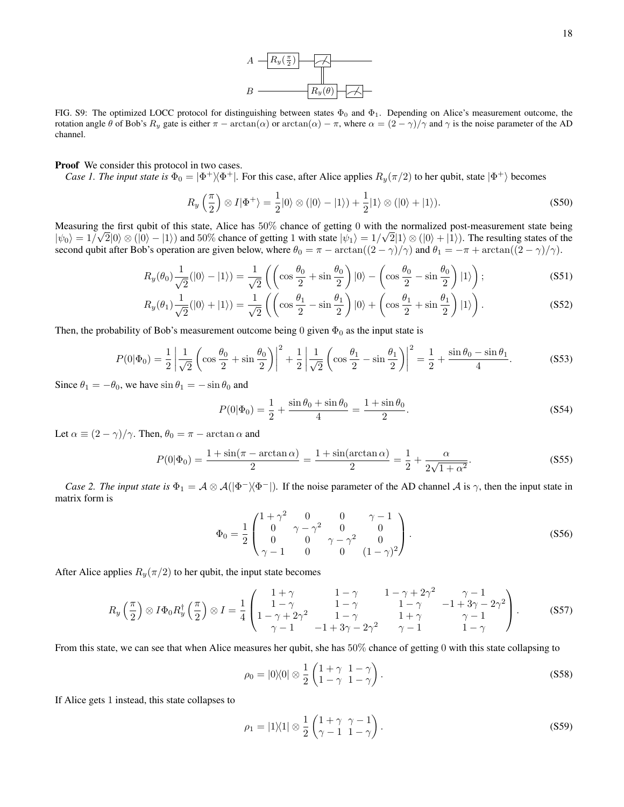

<span id="page-17-0"></span>FIG. S9: The optimized LOCC protocol for distinguishing between states  $\Phi_0$  and  $\Phi_1$ . Depending on Alice's measurement outcome, the rotation angle θ of Bob's  $R_y$  gate is either  $\pi - \arctan(\alpha)$  or  $\arctan(\alpha) - \pi$ , where  $\alpha = (2 - \gamma)/\gamma$  and  $\gamma$  is the noise parameter of the AD channel.

# Proof We consider this protocol in two cases.

*Case 1. The input state is*  $\Phi_0 = |\Phi^+\rangle\langle\Phi^+|$ . For this case, after Alice applies  $R_y(\pi/2)$  to her qubit, state  $|\Phi^+\rangle$  becomes

$$
R_y\left(\frac{\pi}{2}\right) \otimes I|\Phi^+\rangle = \frac{1}{2}|0\rangle \otimes (|0\rangle - |1\rangle) + \frac{1}{2}|1\rangle \otimes (|0\rangle + |1\rangle). \tag{S50}
$$

Measuring the first qubit of this state, Alice has  $50\%$  chance of getting 0 with the normalized post-measurement state being  $|\psi_0\rangle = 1/\sqrt{2}|0\rangle \otimes (|0\rangle - |1\rangle)$  and 50% chance of getting 1 with state  $|\psi_1\rangle = 1/\sqrt{2}|1\rangle \otimes (|0\rangle + |1\rangle)$ . The resulting states of the second qubit after Bob's operation are given below, where  $\theta_0 = \pi - \arctan((2 - \gamma)/\gamma)$  and  $\theta_1 = -\pi + \arctan((2 - \gamma)/\gamma)$ .

$$
R_y(\theta_0) \frac{1}{\sqrt{2}}(|0\rangle - |1\rangle) = \frac{1}{\sqrt{2}} \left( \left( \cos \frac{\theta_0}{2} + \sin \frac{\theta_0}{2} \right) |0\rangle - \left( \cos \frac{\theta_0}{2} - \sin \frac{\theta_0}{2} \right) |1\rangle \right);
$$
 (S51)

$$
R_y(\theta_1)\frac{1}{\sqrt{2}}(|0\rangle+|1\rangle) = \frac{1}{\sqrt{2}}\left(\left(\cos\frac{\theta_1}{2}-\sin\frac{\theta_1}{2}\right)|0\rangle+\left(\cos\frac{\theta_1}{2}+\sin\frac{\theta_1}{2}\right)|1\rangle\right).
$$
 (S52)

Then, the probability of Bob's measurement outcome being 0 given  $\Phi_0$  as the input state is

$$
P(0|\Phi_0) = \frac{1}{2} \left| \frac{1}{\sqrt{2}} \left( \cos \frac{\theta_0}{2} + \sin \frac{\theta_0}{2} \right) \right|^2 + \frac{1}{2} \left| \frac{1}{\sqrt{2}} \left( \cos \frac{\theta_1}{2} - \sin \frac{\theta_1}{2} \right) \right|^2 = \frac{1}{2} + \frac{\sin \theta_0 - \sin \theta_1}{4}.
$$
 (S53)

Since  $\theta_1 = -\theta_0$ , we have  $\sin \theta_1 = -\sin \theta_0$  and

$$
P(0|\Phi_0) = \frac{1}{2} + \frac{\sin \theta_0 + \sin \theta_0}{4} = \frac{1 + \sin \theta_0}{2}.
$$
 (S54)

Let  $\alpha \equiv (2 - \gamma)/\gamma$ . Then,  $\theta_0 = \pi - \arctan \alpha$  and

$$
P(0|\Phi_0) = \frac{1 + \sin(\pi - \arctan \alpha)}{2} = \frac{1 + \sin(\arctan \alpha)}{2} = \frac{1}{2} + \frac{\alpha}{2\sqrt{1 + \alpha^2}}.
$$
 (S55)

*Case 2. The input state is*  $\Phi_1 = A \otimes A(|\Phi^-\rangle\langle\Phi^-|)$ . If the noise parameter of the AD channel A is  $\gamma$ , then the input state in matrix form is

$$
\Phi_0 = \frac{1}{2} \begin{pmatrix} 1+\gamma^2 & 0 & 0 & \gamma - 1 \\ 0 & \gamma - \gamma^2 & 0 & 0 \\ 0 & 0 & \gamma - \gamma^2 & 0 \\ \gamma - 1 & 0 & 0 & (1-\gamma)^2 \end{pmatrix} .
$$
 (S56)

After Alice applies  $R_y(\pi/2)$  to her qubit, the input state becomes

$$
R_y\left(\frac{\pi}{2}\right)\otimes I\Phi_0 R_y^{\dagger}\left(\frac{\pi}{2}\right)\otimes I = \frac{1}{4}\begin{pmatrix} 1+\gamma & 1-\gamma & 1-\gamma+2\gamma^2 & \gamma-1\\ 1-\gamma & 1-\gamma & 1-\gamma & 1-\gamma & -1+3\gamma-2\gamma^2\\ 1-\gamma+2\gamma^2 & 1-\gamma & 1+\gamma & \gamma-1\\ \gamma-1 & -1+3\gamma-2\gamma^2 & \gamma-1 & 1-\gamma \end{pmatrix}.
$$
 (S57)

From this state, we can see that when Alice measures her qubit, she has 50% chance of getting 0 with this state collapsing to

$$
\rho_0 = |0\rangle\langle 0| \otimes \frac{1}{2} \begin{pmatrix} 1+\gamma & 1-\gamma \\ 1-\gamma & 1-\gamma \end{pmatrix}.
$$
 (S58)

If Alice gets 1 instead, this state collapses to

$$
\rho_1 = |1\rangle\langle 1| \otimes \frac{1}{2} \begin{pmatrix} 1+\gamma & \gamma-1 \\ \gamma-1 & 1-\gamma \end{pmatrix}.
$$
 (S59)